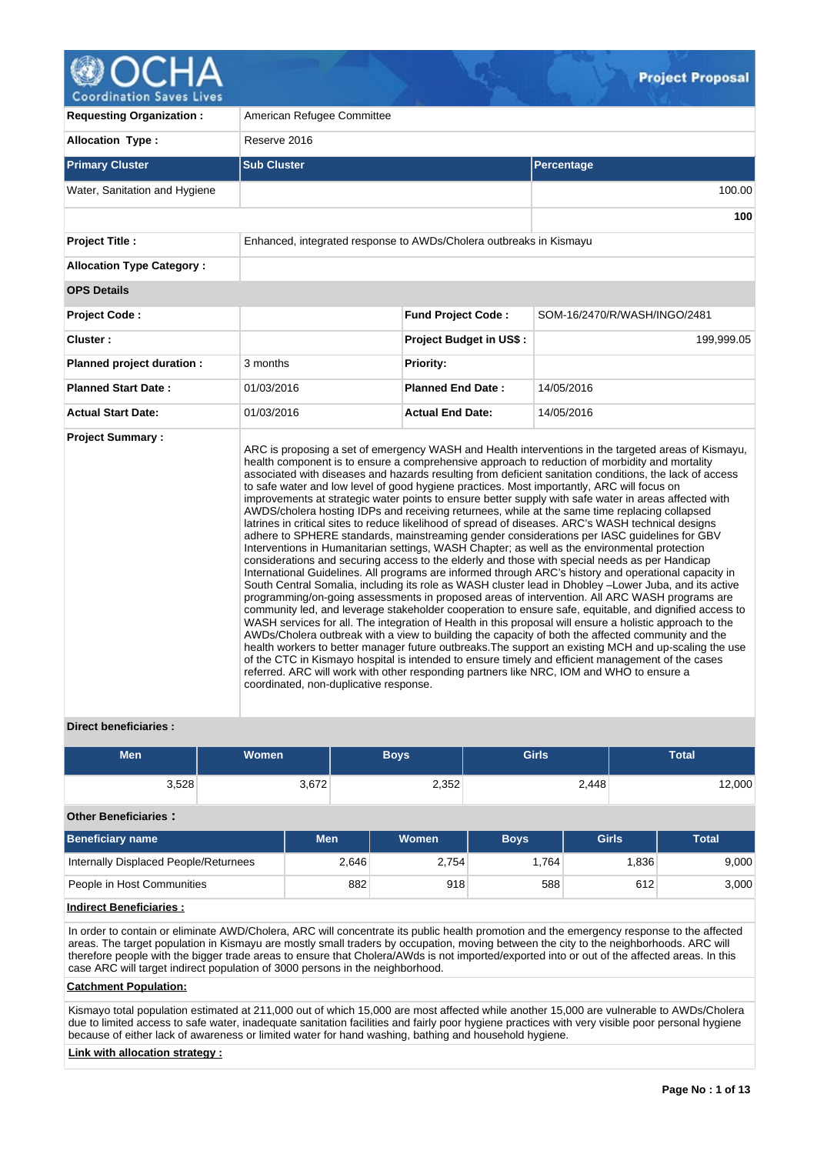

**Coordination Saves Lives** 

| <b>Requesting Organization:</b>  | American Refugee Committee                                                                                                           |                                                                    |                                                                                                                                                                                                                                                                                                                                                                                                                                                                                                                                                                                                                                                                                                                                                                                                                                                                                                                                                                                                                                                                                                                                                                                                                                                                                                                                                                                                                                                                                                                                                                                                                                                                                                                                                                                                                                                                                             |  |  |  |  |  |  |  |
|----------------------------------|--------------------------------------------------------------------------------------------------------------------------------------|--------------------------------------------------------------------|---------------------------------------------------------------------------------------------------------------------------------------------------------------------------------------------------------------------------------------------------------------------------------------------------------------------------------------------------------------------------------------------------------------------------------------------------------------------------------------------------------------------------------------------------------------------------------------------------------------------------------------------------------------------------------------------------------------------------------------------------------------------------------------------------------------------------------------------------------------------------------------------------------------------------------------------------------------------------------------------------------------------------------------------------------------------------------------------------------------------------------------------------------------------------------------------------------------------------------------------------------------------------------------------------------------------------------------------------------------------------------------------------------------------------------------------------------------------------------------------------------------------------------------------------------------------------------------------------------------------------------------------------------------------------------------------------------------------------------------------------------------------------------------------------------------------------------------------------------------------------------------------|--|--|--|--|--|--|--|
| <b>Allocation Type:</b>          | Reserve 2016                                                                                                                         |                                                                    |                                                                                                                                                                                                                                                                                                                                                                                                                                                                                                                                                                                                                                                                                                                                                                                                                                                                                                                                                                                                                                                                                                                                                                                                                                                                                                                                                                                                                                                                                                                                                                                                                                                                                                                                                                                                                                                                                             |  |  |  |  |  |  |  |
| <b>Primary Cluster</b>           | <b>Sub Cluster</b>                                                                                                                   |                                                                    | Percentage                                                                                                                                                                                                                                                                                                                                                                                                                                                                                                                                                                                                                                                                                                                                                                                                                                                                                                                                                                                                                                                                                                                                                                                                                                                                                                                                                                                                                                                                                                                                                                                                                                                                                                                                                                                                                                                                                  |  |  |  |  |  |  |  |
| Water, Sanitation and Hygiene    |                                                                                                                                      |                                                                    | 100.00                                                                                                                                                                                                                                                                                                                                                                                                                                                                                                                                                                                                                                                                                                                                                                                                                                                                                                                                                                                                                                                                                                                                                                                                                                                                                                                                                                                                                                                                                                                                                                                                                                                                                                                                                                                                                                                                                      |  |  |  |  |  |  |  |
|                                  |                                                                                                                                      |                                                                    |                                                                                                                                                                                                                                                                                                                                                                                                                                                                                                                                                                                                                                                                                                                                                                                                                                                                                                                                                                                                                                                                                                                                                                                                                                                                                                                                                                                                                                                                                                                                                                                                                                                                                                                                                                                                                                                                                             |  |  |  |  |  |  |  |
| <b>Project Title:</b>            |                                                                                                                                      | Enhanced, integrated response to AWDs/Cholera outbreaks in Kismayu |                                                                                                                                                                                                                                                                                                                                                                                                                                                                                                                                                                                                                                                                                                                                                                                                                                                                                                                                                                                                                                                                                                                                                                                                                                                                                                                                                                                                                                                                                                                                                                                                                                                                                                                                                                                                                                                                                             |  |  |  |  |  |  |  |
| <b>Allocation Type Category:</b> |                                                                                                                                      |                                                                    |                                                                                                                                                                                                                                                                                                                                                                                                                                                                                                                                                                                                                                                                                                                                                                                                                                                                                                                                                                                                                                                                                                                                                                                                                                                                                                                                                                                                                                                                                                                                                                                                                                                                                                                                                                                                                                                                                             |  |  |  |  |  |  |  |
| <b>OPS Details</b>               |                                                                                                                                      |                                                                    |                                                                                                                                                                                                                                                                                                                                                                                                                                                                                                                                                                                                                                                                                                                                                                                                                                                                                                                                                                                                                                                                                                                                                                                                                                                                                                                                                                                                                                                                                                                                                                                                                                                                                                                                                                                                                                                                                             |  |  |  |  |  |  |  |
| Project Code:                    |                                                                                                                                      | <b>Fund Project Code:</b>                                          | SOM-16/2470/R/WASH/INGO/2481                                                                                                                                                                                                                                                                                                                                                                                                                                                                                                                                                                                                                                                                                                                                                                                                                                                                                                                                                                                                                                                                                                                                                                                                                                                                                                                                                                                                                                                                                                                                                                                                                                                                                                                                                                                                                                                                |  |  |  |  |  |  |  |
| Cluster:                         |                                                                                                                                      | <b>Project Budget in US\$:</b>                                     | 199,999.05                                                                                                                                                                                                                                                                                                                                                                                                                                                                                                                                                                                                                                                                                                                                                                                                                                                                                                                                                                                                                                                                                                                                                                                                                                                                                                                                                                                                                                                                                                                                                                                                                                                                                                                                                                                                                                                                                  |  |  |  |  |  |  |  |
| Planned project duration :       | 3 months                                                                                                                             | <b>Priority:</b>                                                   |                                                                                                                                                                                                                                                                                                                                                                                                                                                                                                                                                                                                                                                                                                                                                                                                                                                                                                                                                                                                                                                                                                                                                                                                                                                                                                                                                                                                                                                                                                                                                                                                                                                                                                                                                                                                                                                                                             |  |  |  |  |  |  |  |
| <b>Planned Start Date:</b>       | 01/03/2016                                                                                                                           | <b>Planned End Date:</b>                                           | 14/05/2016                                                                                                                                                                                                                                                                                                                                                                                                                                                                                                                                                                                                                                                                                                                                                                                                                                                                                                                                                                                                                                                                                                                                                                                                                                                                                                                                                                                                                                                                                                                                                                                                                                                                                                                                                                                                                                                                                  |  |  |  |  |  |  |  |
| <b>Actual Start Date:</b>        | 01/03/2016                                                                                                                           | <b>Actual End Date:</b>                                            | 14/05/2016                                                                                                                                                                                                                                                                                                                                                                                                                                                                                                                                                                                                                                                                                                                                                                                                                                                                                                                                                                                                                                                                                                                                                                                                                                                                                                                                                                                                                                                                                                                                                                                                                                                                                                                                                                                                                                                                                  |  |  |  |  |  |  |  |
| <b>Project Summary:</b>          | to safe water and low level of good hygiene practices. Most importantly, ARC will focus on<br>coordinated, non-duplicative response. |                                                                    | ARC is proposing a set of emergency WASH and Health interventions in the targeted areas of Kismayu,<br>health component is to ensure a comprehensive approach to reduction of morbidity and mortality<br>associated with diseases and hazards resulting from deficient sanitation conditions, the lack of access<br>improvements at strategic water points to ensure better supply with safe water in areas affected with<br>AWDS/cholera hosting IDPs and receiving returnees, while at the same time replacing collapsed<br>latrines in critical sites to reduce likelihood of spread of diseases. ARC's WASH technical designs<br>adhere to SPHERE standards, mainstreaming gender considerations per IASC guidelines for GBV<br>Interventions in Humanitarian settings, WASH Chapter; as well as the environmental protection<br>considerations and securing access to the elderly and those with special needs as per Handicap<br>International Guidelines. All programs are informed through ARC's history and operational capacity in<br>South Central Somalia, including its role as WASH cluster lead in Dhobley -Lower Juba, and its active<br>programming/on-going assessments in proposed areas of intervention. All ARC WASH programs are<br>community led, and leverage stakeholder cooperation to ensure safe, equitable, and dignified access to<br>WASH services for all. The integration of Health in this proposal will ensure a holistic approach to the<br>AWDs/Cholera outbreak with a view to building the capacity of both the affected community and the<br>health workers to better manager future outbreaks. The support an existing MCH and up-scaling the use<br>of the CTC in Kismayo hospital is intended to ensure timely and efficient management of the cases<br>referred. ARC will work with other responding partners like NRC, IOM and WHO to ensure a |  |  |  |  |  |  |  |

### **Direct beneficiaries :**

| <b>Men</b>                            | <b>Women</b> |            | <b>Boys</b> | <b>Girls</b> |              | <b>Total</b> |
|---------------------------------------|--------------|------------|-------------|--------------|--------------|--------------|
| 3,528                                 |              | 3,672      | 2,352       |              | 2,448        | 12,000       |
| <b>Other Beneficiaries:</b>           |              |            |             |              |              |              |
| <b>Beneficiary name</b>               |              | <b>Men</b> | Women       | <b>Boys</b>  | <b>Girls</b> | <b>Total</b> |
| Internally Displaced People/Returnees |              | 2,646      | 2,754       | 1,764        | 1,836        | 9,000        |
| People in Host Communities            |              | 882        | 918         | 588          | 612          | 3,000        |

# **Indirect Beneficiaries :**

In order to contain or eliminate AWD/Cholera, ARC will concentrate its public health promotion and the emergency response to the affected areas. The target population in Kismayu are mostly small traders by occupation, moving between the city to the neighborhoods. ARC will therefore people with the bigger trade areas to ensure that Cholera/AWds is not imported/exported into or out of the affected areas. In this case ARC will target indirect population of 3000 persons in the neighborhood.

#### **Catchment Population:**

Kismayo total population estimated at 211,000 out of which 15,000 are most affected while another 15,000 are vulnerable to AWDs/Cholera due to limited access to safe water, inadequate sanitation facilities and fairly poor hygiene practices with very visible poor personal hygiene because of either lack of awareness or limited water for hand washing, bathing and household hygiene.

#### **Link with allocation strategy :**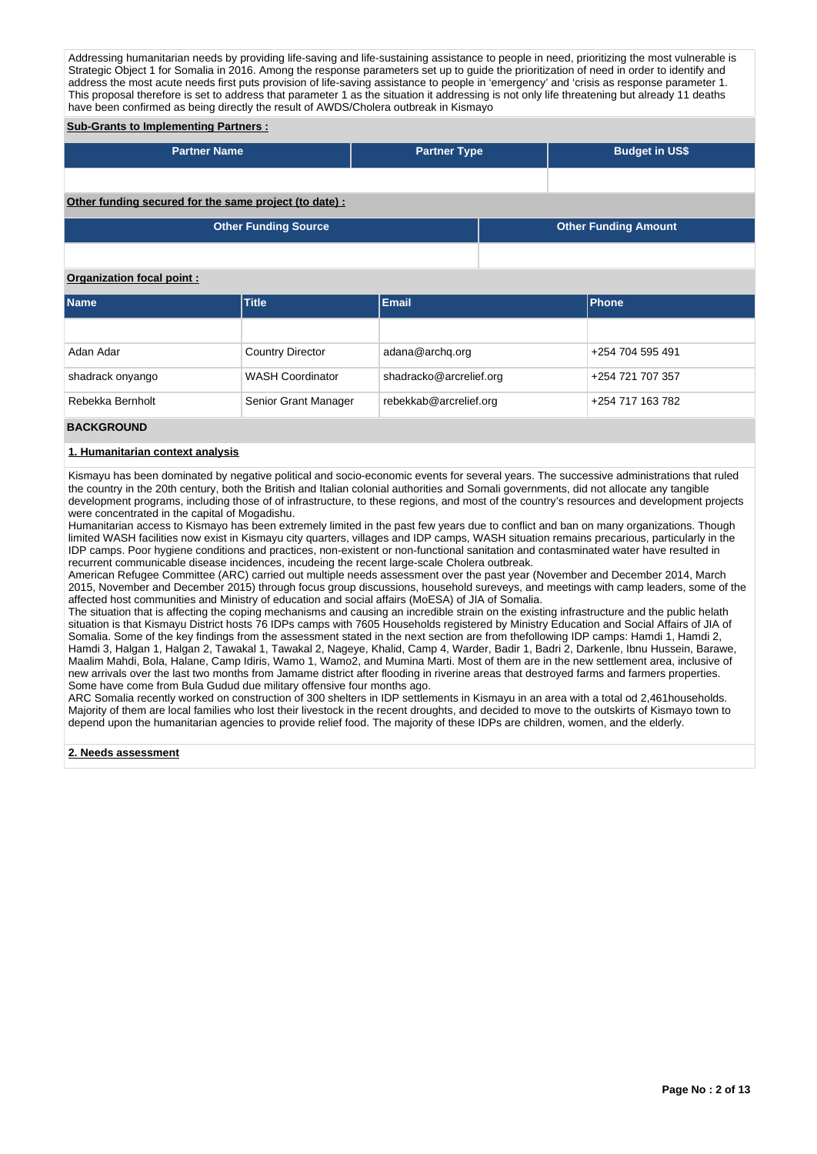Addressing humanitarian needs by providing life-saving and life-sustaining assistance to people in need, prioritizing the most vulnerable is Strategic Object 1 for Somalia in 2016. Among the response parameters set up to guide the prioritization of need in order to identify and address the most acute needs first puts provision of life-saving assistance to people in 'emergency' and 'crisis as response parameter 1. This proposal therefore is set to address that parameter 1 as the situation it addressing is not only life threatening but already 11 deaths have been confirmed as being directly the result of AWDS/Cholera outbreak in Kismayo

## **Sub-Grants to Implementing Partners :**

| <b>Partner Name</b>                                   | <b>Partner Type</b> | <b>Budget in US\$</b>       |
|-------------------------------------------------------|---------------------|-----------------------------|
|                                                       |                     |                             |
| Other funding secured for the same project (to date): |                     |                             |
| <b>Other Funding Source</b>                           |                     | <b>Other Funding Amount</b> |

### **Organization focal point :**

| <b>Name</b>      | <b>Title</b>            | <b>Email</b>            | <b>IPhone</b>    |
|------------------|-------------------------|-------------------------|------------------|
|                  |                         |                         |                  |
| Adan Adar        | <b>Country Director</b> | adana@archq.org         | +254 704 595 491 |
| shadrack onyango | <b>WASH Coordinator</b> | shadracko@arcrelief.org | +254 721 707 357 |
| Rebekka Bernholt | Senior Grant Manager    | rebekkab@arcrelief.org  | +254 717 163 782 |

### **BACKGROUND**

#### **1. Humanitarian context analysis**

Kismayu has been dominated by negative political and socio-economic events for several years. The successive administrations that ruled the country in the 20th century, both the British and Italian colonial authorities and Somali governments, did not allocate any tangible development programs, including those of of infrastructure, to these regions, and most of the country's resources and development projects were concentrated in the capital of Mogadishu.

Humanitarian access to Kismayo has been extremely limited in the past few years due to conflict and ban on many organizations. Though limited WASH facilities now exist in Kismayu city quarters, villages and IDP camps, WASH situation remains precarious, particularly in the IDP camps. Poor hygiene conditions and practices, non-existent or non-functional sanitation and contasminated water have resulted in recurrent communicable disease incidences, incudeing the recent large-scale Cholera outbreak.

American Refugee Committee (ARC) carried out multiple needs assessment over the past year (November and December 2014, March 2015, November and December 2015) through focus group discussions, household sureveys, and meetings with camp leaders, some of the affected host communities and Ministry of education and social affairs (MoESA) of JIA of Somalia.

The situation that is affecting the coping mechanisms and causing an incredible strain on the existing infrastructure and the public helath situation is that Kismayu District hosts 76 IDPs camps with 7605 Households registered by Ministry Education and Social Affairs of JIA of Somalia. Some of the key findings from the assessment stated in the next section are from thefollowing IDP camps: Hamdi 1, Hamdi 2, Hamdi 3, Halgan 1, Halgan 2, Tawakal 1, Tawakal 2, Nageye, Khalid, Camp 4, Warder, Badir 1, Badri 2, Darkenle, Ibnu Hussein, Barawe, Maalim Mahdi, Bola, Halane, Camp Idiris, Wamo 1, Wamo2, and Mumina Marti. Most of them are in the new settlement area, inclusive of new arrivals over the last two months from Jamame district after flooding in riverine areas that destroyed farms and farmers properties. Some have come from Bula Gudud due military offensive four months ago.

ARC Somalia recently worked on construction of 300 shelters in IDP settlements in Kismayu in an area with a total od 2,461households. Majority of them are local families who lost their livestock in the recent droughts, and decided to move to the outskirts of Kismayo town to depend upon the humanitarian agencies to provide relief food. The majority of these IDPs are children, women, and the elderly.

#### **2. Needs assessment**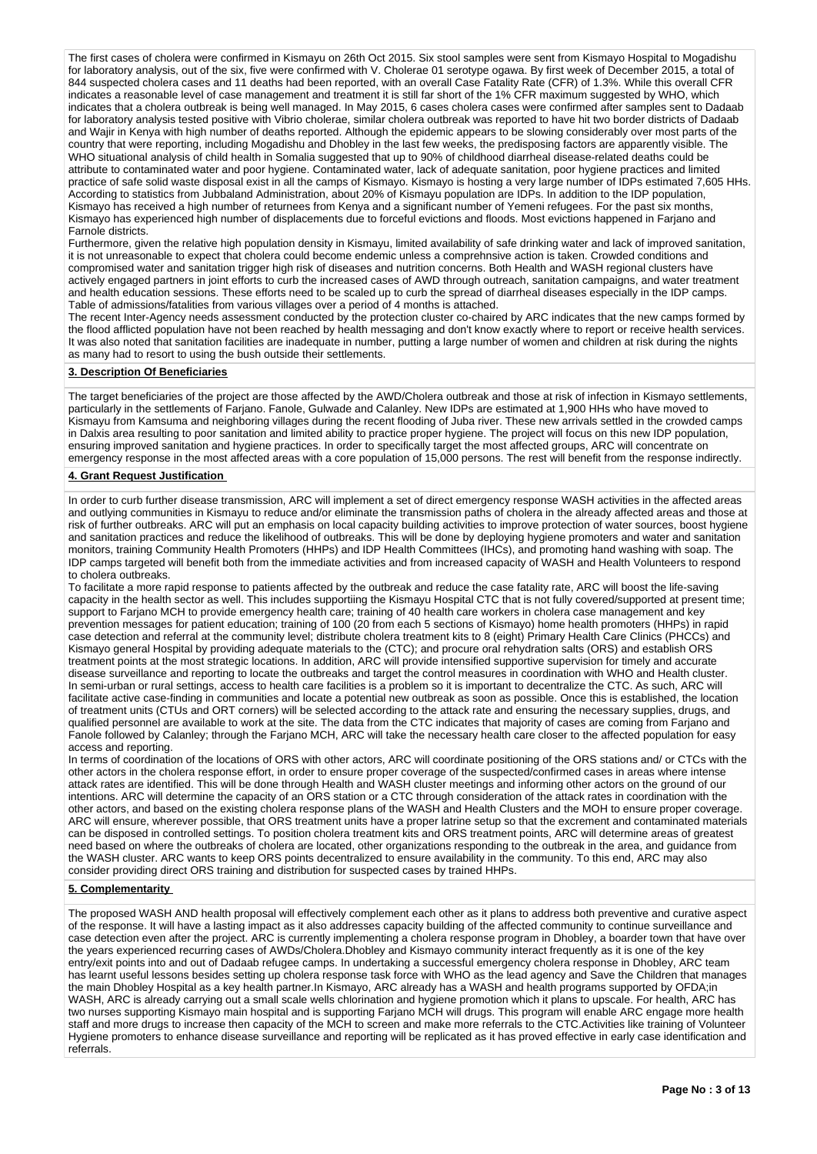The first cases of cholera were confirmed in Kismayu on 26th Oct 2015. Six stool samples were sent from Kismayo Hospital to Mogadishu for laboratory analysis, out of the six, five were confirmed with V. Cholerae 01 serotype ogawa. By first week of December 2015, a total of 844 suspected cholera cases and 11 deaths had been reported, with an overall Case Fatality Rate (CFR) of 1.3%. While this overall CFR indicates a reasonable level of case management and treatment it is still far short of the 1% CFR maximum suggested by WHO, which indicates that a cholera outbreak is being well managed. In May 2015, 6 cases cholera cases were confirmed after samples sent to Dadaab for laboratory analysis tested positive with Vibrio cholerae, similar cholera outbreak was reported to have hit two border districts of Dadaab and Wajir in Kenya with high number of deaths reported. Although the epidemic appears to be slowing considerably over most parts of the country that were reporting, including Mogadishu and Dhobley in the last few weeks, the predisposing factors are apparently visible. The WHO situational analysis of child health in Somalia suggested that up to 90% of childhood diarrheal disease-related deaths could be attribute to contaminated water and poor hygiene. Contaminated water, lack of adequate sanitation, poor hygiene practices and limited practice of safe solid waste disposal exist in all the camps of Kismayo. Kismayo is hosting a very large number of IDPs estimated 7,605 HHs. According to statistics from Jubbaland Administration, about 20% of Kismayu population are IDPs. In addition to the IDP population, Kismayo has received a high number of returnees from Kenya and a significant number of Yemeni refugees. For the past six months, Kismayo has experienced high number of displacements due to forceful evictions and floods. Most evictions happened in Farjano and Farnole districts.

Furthermore, given the relative high population density in Kismayu, limited availability of safe drinking water and lack of improved sanitation, it is not unreasonable to expect that cholera could become endemic unless a comprehnsive action is taken. Crowded conditions and compromised water and sanitation trigger high risk of diseases and nutrition concerns. Both Health and WASH regional clusters have actively engaged partners in joint efforts to curb the increased cases of AWD through outreach, sanitation campaigns, and water treatment and health education sessions. These efforts need to be scaled up to curb the spread of diarrheal diseases especially in the IDP camps. Table of admissions/fatalities from various villages over a period of 4 months is attached.

The recent Inter-Agency needs assessment conducted by the protection cluster co-chaired by ARC indicates that the new camps formed by the flood afflicted population have not been reached by health messaging and don't know exactly where to report or receive health services. It was also noted that sanitation facilities are inadequate in number, putting a large number of women and children at risk during the nights as many had to resort to using the bush outside their settlements.

#### **3. Description Of Beneficiaries**

The target beneficiaries of the project are those affected by the AWD/Cholera outbreak and those at risk of infection in Kismayo settlements, particularly in the settlements of Farjano. Fanole, Gulwade and Calanley. New IDPs are estimated at 1,900 HHs who have moved to Kismayu from Kamsuma and neighboring villages during the recent flooding of Juba river. These new arrivals settled in the crowded camps in Dalxis area resulting to poor sanitation and limited ability to practice proper hygiene. The project will focus on this new IDP population, ensuring improved sanitation and hygiene practices. In order to specifically target the most affected groups, ARC will concentrate on emergency response in the most affected areas with a core population of 15,000 persons. The rest will benefit from the response indirectly.

### **4. Grant Request Justification**

In order to curb further disease transmission, ARC will implement a set of direct emergency response WASH activities in the affected areas and outlying communities in Kismayu to reduce and/or eliminate the transmission paths of cholera in the already affected areas and those at risk of further outbreaks. ARC will put an emphasis on local capacity building activities to improve protection of water sources, boost hygiene and sanitation practices and reduce the likelihood of outbreaks. This will be done by deploying hygiene promoters and water and sanitation monitors, training Community Health Promoters (HHPs) and IDP Health Committees (IHCs), and promoting hand washing with soap. The IDP camps targeted will benefit both from the immediate activities and from increased capacity of WASH and Health Volunteers to respond to cholera outbreaks.

To facilitate a more rapid response to patients affected by the outbreak and reduce the case fatality rate, ARC will boost the life-saving capacity in the health sector as well. This includes supportiing the Kismayu Hospital CTC that is not fully covered/supported at present time; support to Farjano MCH to provide emergency health care; training of 40 health care workers in cholera case management and key prevention messages for patient education; training of 100 (20 from each 5 sections of Kismayo) home health promoters (HHPs) in rapid case detection and referral at the community level; distribute cholera treatment kits to 8 (eight) Primary Health Care Clinics (PHCCs) and Kismayo general Hospital by providing adequate materials to the (CTC); and procure oral rehydration salts (ORS) and establish ORS treatment points at the most strategic locations. In addition, ARC will provide intensified supportive supervision for timely and accurate disease surveillance and reporting to locate the outbreaks and target the control measures in coordination with WHO and Health cluster. In semi-urban or rural settings, access to health care facilities is a problem so it is important to decentralize the CTC. As such, ARC will facilitate active case-finding in communities and locate a potential new outbreak as soon as possible. Once this is established, the location of treatment units (CTUs and ORT corners) will be selected according to the attack rate and ensuring the necessary supplies, drugs, and qualified personnel are available to work at the site. The data from the CTC indicates that majority of cases are coming from Farjano and Fanole followed by Calanley; through the Farjano MCH, ARC will take the necessary health care closer to the affected population for easy access and reporting.

In terms of coordination of the locations of ORS with other actors, ARC will coordinate positioning of the ORS stations and/ or CTCs with the other actors in the cholera response effort, in order to ensure proper coverage of the suspected/confirmed cases in areas where intense attack rates are identified. This will be done through Health and WASH cluster meetings and informing other actors on the ground of our intentions. ARC will determine the capacity of an ORS station or a CTC through consideration of the attack rates in coordination with the other actors, and based on the existing cholera response plans of the WASH and Health Clusters and the MOH to ensure proper coverage. ARC will ensure, wherever possible, that ORS treatment units have a proper latrine setup so that the excrement and contaminated materials can be disposed in controlled settings. To position cholera treatment kits and ORS treatment points, ARC will determine areas of greatest need based on where the outbreaks of cholera are located, other organizations responding to the outbreak in the area, and guidance from the WASH cluster. ARC wants to keep ORS points decentralized to ensure availability in the community. To this end, ARC may also consider providing direct ORS training and distribution for suspected cases by trained HHPs.

#### **5. Complementarity**

The proposed WASH AND health proposal will effectively complement each other as it plans to address both preventive and curative aspect of the response. It will have a lasting impact as it also addresses capacity building of the affected community to continue surveillance and case detection even after the project. ARC is currently implementing a cholera response program in Dhobley, a boarder town that have over the years experienced recurring cases of AWDs/Cholera.Dhobley and Kismayo community interact frequently as it is one of the key entry/exit points into and out of Dadaab refugee camps. In undertaking a successful emergency cholera response in Dhobley, ARC team has learnt useful lessons besides setting up cholera response task force with WHO as the lead agency and Save the Children that manages the main Dhobley Hospital as a key health partner.In Kismayo, ARC already has a WASH and health programs supported by OFDA;in WASH, ARC is already carrying out a small scale wells chlorination and hygiene promotion which it plans to upscale. For health, ARC has two nurses supporting Kismayo main hospital and is supporting Farjano MCH will drugs. This program will enable ARC engage more health staff and more drugs to increase then capacity of the MCH to screen and make more referrals to the CTC.Activities like training of Volunteer Hygiene promoters to enhance disease surveillance and reporting will be replicated as it has proved effective in early case identification and referrals.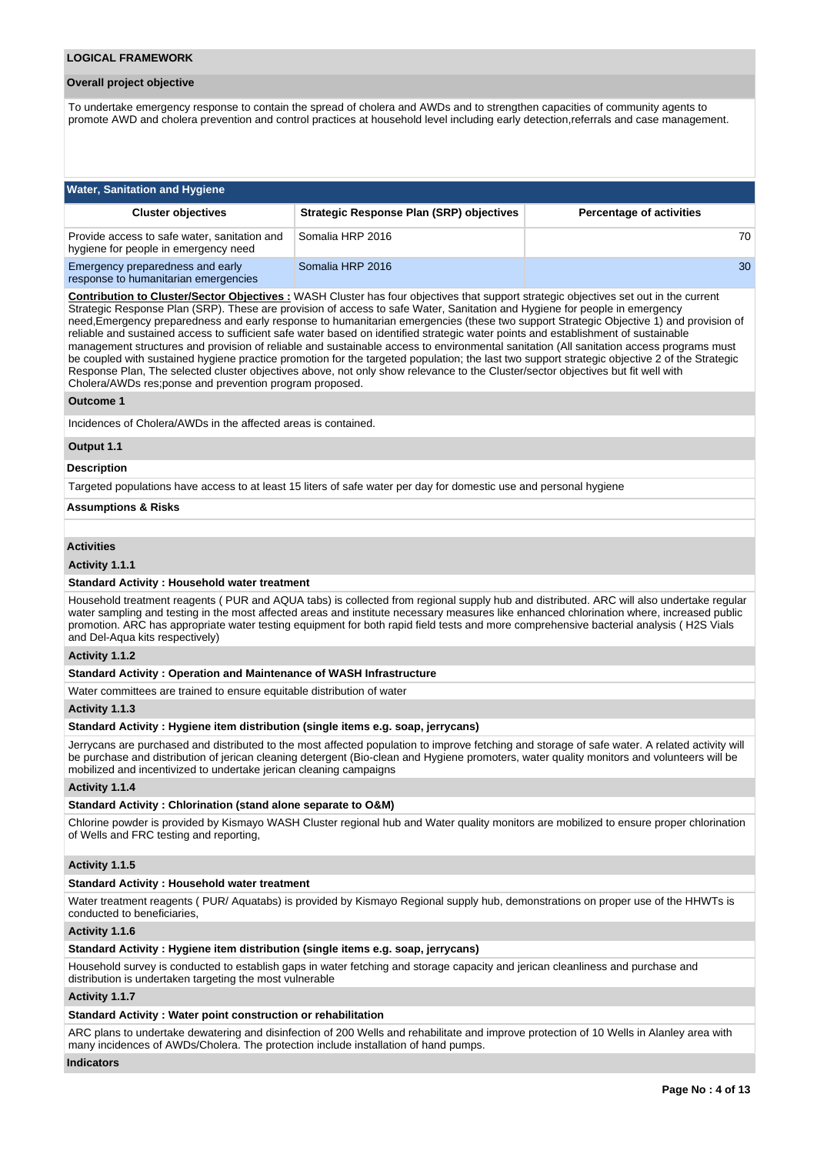#### **Overall project objective**

To undertake emergency response to contain the spread of cholera and AWDs and to strengthen capacities of community agents to promote AWD and cholera prevention and control practices at household level including early detection,referrals and case management.

| <b>Water, Sanitation and Hygiene</b>                                                 |                                                 |                                 |  |  |  |  |  |  |
|--------------------------------------------------------------------------------------|-------------------------------------------------|---------------------------------|--|--|--|--|--|--|
| <b>Cluster objectives</b>                                                            | <b>Strategic Response Plan (SRP) objectives</b> | <b>Percentage of activities</b> |  |  |  |  |  |  |
| Provide access to safe water, sanitation and<br>hygiene for people in emergency need | Somalia HRP 2016                                | 70                              |  |  |  |  |  |  |
| Emergency preparedness and early<br>response to humanitarian emergencies             | Somalia HRP 2016                                | 30                              |  |  |  |  |  |  |

**Contribution to Cluster/Sector Objectives :** WASH Cluster has four objectives that support strategic objectives set out in the current Strategic Response Plan (SRP). These are provision of access to safe Water, Sanitation and Hygiene for people in emergency need,Emergency preparedness and early response to humanitarian emergencies (these two support Strategic Objective 1) and provision of reliable and sustained access to sufficient safe water based on identified strategic water points and establishment of sustainable management structures and provision of reliable and sustainable access to environmental sanitation (All sanitation access programs must be coupled with sustained hygiene practice promotion for the targeted population; the last two support strategic objective 2 of the Strategic Response Plan, The selected cluster objectives above, not only show relevance to the Cluster/sector objectives but fit well with Cholera/AWDs res;ponse and prevention program proposed.

#### **Outcome 1**

Incidences of Cholera/AWDs in the affected areas is contained.

#### **Output 1.1**

#### **Description**

Targeted populations have access to at least 15 liters of safe water per day for domestic use and personal hygiene

**Assumptions & Risks**

# **Activities**

### **Activity 1.1.1**

#### **Standard Activity : Household water treatment**

Household treatment reagents ( PUR and AQUA tabs) is collected from regional supply hub and distributed. ARC will also undertake regular water sampling and testing in the most affected areas and institute necessary measures like enhanced chlorination where, increased public promotion. ARC has appropriate water testing equipment for both rapid field tests and more comprehensive bacterial analysis ( H2S Vials and Del-Aqua kits respectively)

#### **Activity 1.1.2**

#### **Standard Activity : Operation and Maintenance of WASH Infrastructure**

Water committees are trained to ensure equitable distribution of water

### **Activity 1.1.3**

### **Standard Activity : Hygiene item distribution (single items e.g. soap, jerrycans)**

Jerrycans are purchased and distributed to the most affected population to improve fetching and storage of safe water. A related activity will be purchase and distribution of jerican cleaning detergent (Bio-clean and Hygiene promoters, water quality monitors and volunteers will be mobilized and incentivized to undertake jerican cleaning campaigns

#### **Activity 1.1.4**

#### **Standard Activity : Chlorination (stand alone separate to O&M)**

Chlorine powder is provided by Kismayo WASH Cluster regional hub and Water quality monitors are mobilized to ensure proper chlorination of Wells and FRC testing and reporting,

## **Activity 1.1.5**

#### **Standard Activity : Household water treatment**

Water treatment reagents ( PUR/ Aquatabs) is provided by Kismayo Regional supply hub, demonstrations on proper use of the HHWTs is conducted to beneficiaries,

#### **Activity 1.1.6**

#### **Standard Activity : Hygiene item distribution (single items e.g. soap, jerrycans)**

Household survey is conducted to establish gaps in water fetching and storage capacity and jerican cleanliness and purchase and distribution is undertaken targeting the most vulnerable

### **Activity 1.1.7**

### **Standard Activity : Water point construction or rehabilitation**

ARC plans to undertake dewatering and disinfection of 200 Wells and rehabilitate and improve protection of 10 Wells in Alanley area with many incidences of AWDs/Cholera. The protection include installation of hand pumps.

### **Indicators**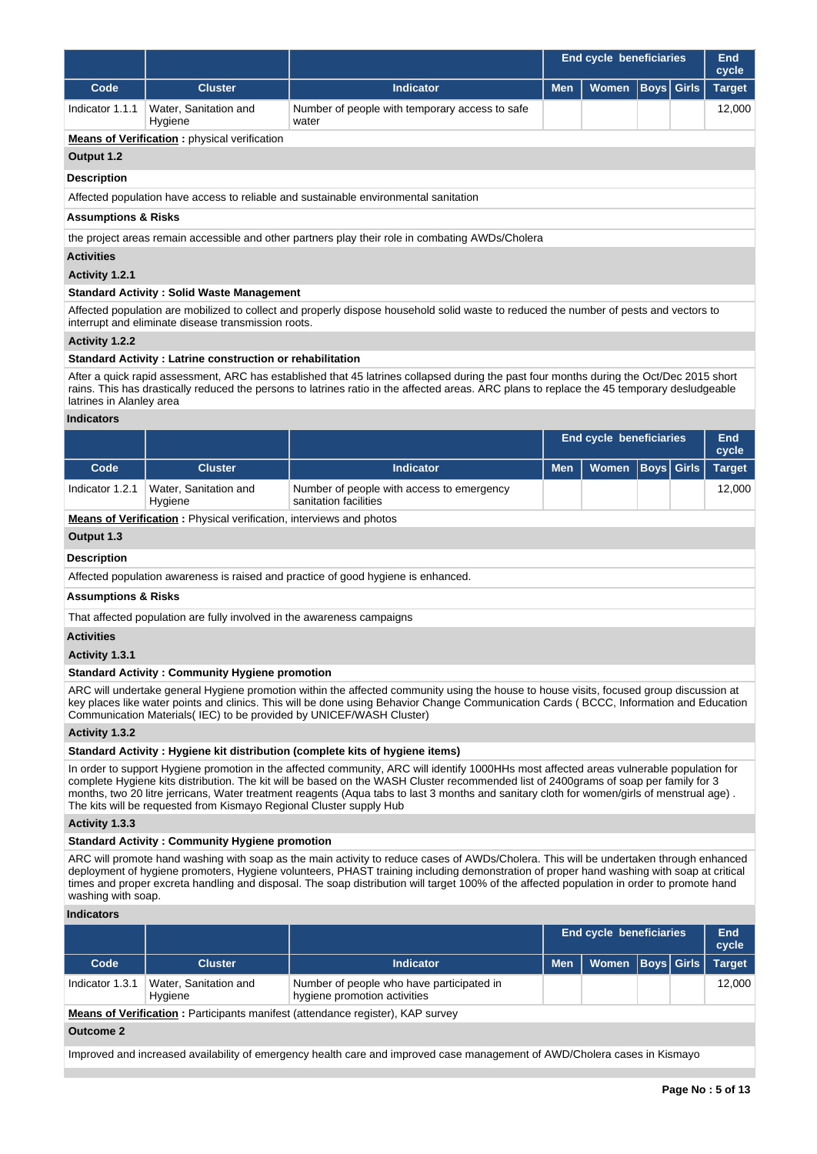|                 |                                  |                                                         | <b>End cycle beneficiaries</b>      |  |  |        |
|-----------------|----------------------------------|---------------------------------------------------------|-------------------------------------|--|--|--------|
| Code            | <b>Cluster</b>                   | <b>Indicator</b>                                        | Men   Women   Boys   Girls   Target |  |  |        |
| Indicator 1.1.1 | Water, Sanitation and<br>Hygiene | Number of people with temporary access to safe<br>water |                                     |  |  | 12.000 |

## **Means of Verification :** physical verification

# **Output 1.2**

### **Description**

Affected population have access to reliable and sustainable environmental sanitation

#### **Assumptions & Risks**

the project areas remain accessible and other partners play their role in combating AWDs/Cholera

### **Activities**

### **Activity 1.2.1**

## **Standard Activity : Solid Waste Management**

Affected population are mobilized to collect and properly dispose household solid waste to reduced the number of pests and vectors to interrupt and eliminate disease transmission roots.

#### **Activity 1.2.2**

### **Standard Activity : Latrine construction or rehabilitation**

After a quick rapid assessment, ARC has established that 45 latrines collapsed during the past four months during the Oct/Dec 2015 short rains. This has drastically reduced the persons to latrines ratio in the affected areas. ARC plans to replace the 45 temporary desludgeable latrines in Alanley area

### **Indicators**

|                 |                                  |                                                                    | <b>End cycle beneficiaries</b> | End<br>cycle                  |  |        |
|-----------------|----------------------------------|--------------------------------------------------------------------|--------------------------------|-------------------------------|--|--------|
| Code            | <b>Cluster</b>                   | <b>Indicator</b>                                                   | <b>Men</b>                     | Women   Boys   Girls   Target |  |        |
| Indicator 1.2.1 | Water, Sanitation and<br>Hygiene | Number of people with access to emergency<br>sanitation facilities |                                |                               |  | 12.000 |

**Means of Verification :** Physical verification, interviews and photos

# **Output 1.3**

#### **Description**

Affected population awareness is raised and practice of good hygiene is enhanced.

# **Assumptions & Risks**

That affected population are fully involved in the awareness campaigns

### **Activities**

**Activity 1.3.1** 

## **Standard Activity : Community Hygiene promotion**

ARC will undertake general Hygiene promotion within the affected community using the house to house visits, focused group discussion at key places like water points and clinics. This will be done using Behavior Change Communication Cards ( BCCC, Information and Education Communication Materials( IEC) to be provided by UNICEF/WASH Cluster)

### **Activity 1.3.2**

### **Standard Activity : Hygiene kit distribution (complete kits of hygiene items)**

In order to support Hygiene promotion in the affected community, ARC will identify 1000HHs most affected areas vulnerable population for complete Hygiene kits distribution. The kit will be based on the WASH Cluster recommended list of 2400grams of soap per family for 3 months, two 20 litre jerricans, Water treatment reagents (Aqua tabs to last 3 months and sanitary cloth for women/girls of menstrual age) . The kits will be requested from Kismayo Regional Cluster supply Hub

**Activity 1.3.3** 

## **Standard Activity : Community Hygiene promotion**

ARC will promote hand washing with soap as the main activity to reduce cases of AWDs/Cholera. This will be undertaken through enhanced deployment of hygiene promoters, Hygiene volunteers, PHAST training including demonstration of proper hand washing with soap at critical times and proper excreta handling and disposal. The soap distribution will target 100% of the affected population in order to promote hand washing with soap.

#### **Indicators**

|                 |                                  |                                                                           | <b>End cycle beneficiaries</b> | End<br>cycle                  |  |        |
|-----------------|----------------------------------|---------------------------------------------------------------------------|--------------------------------|-------------------------------|--|--------|
| Code            | <b>Cluster</b>                   | <b>Indicator</b>                                                          | Men I                          | Women   Boys   Girls   Target |  |        |
| Indicator 1.3.1 | Water, Sanitation and<br>Hygiene | Number of people who have participated in<br>hygiene promotion activities |                                |                               |  | 12.000 |

**Means of Verification** : Participants manifest (attendance register), KAP survey

### **Outcome 2**

Improved and increased availability of emergency health care and improved case management of AWD/Cholera cases in Kismayo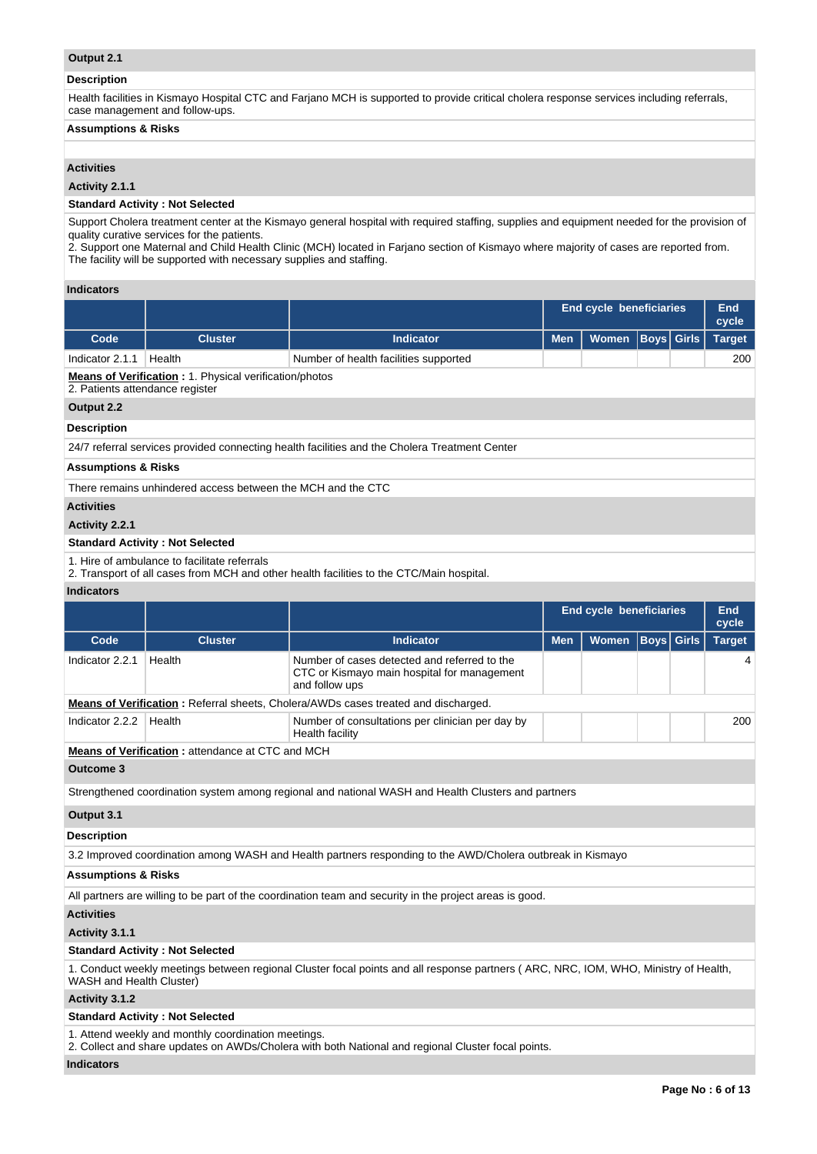# **Output 2.1**

## **Description**

Health facilities in Kismayo Hospital CTC and Farjano MCH is supported to provide critical cholera response services including referrals, case management and follow-ups.

# **Assumptions & Risks**

# **Activities**

## **Activity 2.1.1**

## **Standard Activity : Not Selected**

Support Cholera treatment center at the Kismayo general hospital with required staffing, supplies and equipment needed for the provision of quality curative services for the patients.

2. Support one Maternal and Child Health Clinic (MCH) located in Farjano section of Kismayo where majority of cases are reported from. The facility will be supported with necessary supplies and staffing.

### **Indicators**

|                                 |                                                                |                                                                                                               | <b>End cycle beneficiaries</b> | End<br>cycle                   |                   |                   |                     |
|---------------------------------|----------------------------------------------------------------|---------------------------------------------------------------------------------------------------------------|--------------------------------|--------------------------------|-------------------|-------------------|---------------------|
| Code                            | <b>Cluster</b>                                                 | <b>Indicator</b>                                                                                              | <b>Men</b>                     | Women                          |                   | <b>Boys</b> Girls | <b>Target</b>       |
| Indicator 2.1.1                 | Health                                                         | Number of health facilities supported                                                                         |                                |                                |                   |                   | 200                 |
| 2. Patients attendance register | <b>Means of Verification : 1. Physical verification/photos</b> |                                                                                                               |                                |                                |                   |                   |                     |
| Output 2.2                      |                                                                |                                                                                                               |                                |                                |                   |                   |                     |
| <b>Description</b>              |                                                                |                                                                                                               |                                |                                |                   |                   |                     |
|                                 |                                                                | 24/7 referral services provided connecting health facilities and the Cholera Treatment Center                 |                                |                                |                   |                   |                     |
| <b>Assumptions &amp; Risks</b>  |                                                                |                                                                                                               |                                |                                |                   |                   |                     |
|                                 | There remains unhindered access between the MCH and the CTC    |                                                                                                               |                                |                                |                   |                   |                     |
| <b>Activities</b>               |                                                                |                                                                                                               |                                |                                |                   |                   |                     |
| Activity 2.2.1                  |                                                                |                                                                                                               |                                |                                |                   |                   |                     |
|                                 | <b>Standard Activity: Not Selected</b>                         |                                                                                                               |                                |                                |                   |                   |                     |
|                                 | 1. Hire of ambulance to facilitate referrals                   | 2. Transport of all cases from MCH and other health facilities to the CTC/Main hospital.                      |                                |                                |                   |                   |                     |
| <b>Indicators</b>               |                                                                |                                                                                                               |                                |                                |                   |                   |                     |
|                                 |                                                                |                                                                                                               |                                |                                |                   |                   |                     |
|                                 |                                                                |                                                                                                               |                                | <b>End cycle beneficiaries</b> |                   |                   | <b>End</b><br>cycle |
| Code                            | <b>Cluster</b>                                                 | <b>Indicator</b>                                                                                              | <b>Men</b>                     | Women                          | <b>Boys</b> Girls |                   | <b>Target</b>       |
| Indicator 2.2.1                 | Health                                                         | Number of cases detected and referred to the<br>CTC or Kismayo main hospital for management<br>and follow ups |                                |                                |                   |                   | 4                   |
|                                 |                                                                | <b>Means of Verification:</b> Referral sheets, Cholera/AWDs cases treated and discharged.                     |                                |                                |                   |                   |                     |
| Indicator 2.2.2                 | Health                                                         | Number of consultations per clinician per day by<br>Health facility                                           |                                |                                |                   |                   | 200                 |
|                                 | Means of Verification: attendance at CTC and MCH               |                                                                                                               |                                |                                |                   |                   |                     |
| <b>Outcome 3</b>                |                                                                |                                                                                                               |                                |                                |                   |                   |                     |
|                                 |                                                                | Strengthened coordination system among regional and national WASH and Health Clusters and partners            |                                |                                |                   |                   |                     |
| Output 3.1                      |                                                                |                                                                                                               |                                |                                |                   |                   |                     |
| <b>Description</b>              |                                                                |                                                                                                               |                                |                                |                   |                   |                     |
|                                 |                                                                | 3.2 Improved coordination among WASH and Health partners responding to the AWD/Cholera outbreak in Kismayo    |                                |                                |                   |                   |                     |
| <b>Assumptions &amp; Risks</b>  |                                                                |                                                                                                               |                                |                                |                   |                   |                     |
|                                 |                                                                | All partners are willing to be part of the coordination team and security in the project areas is good.       |                                |                                |                   |                   |                     |

### **Activities**

#### **Activity 3.1.1**

## **Standard Activity : Not Selected**

1. Conduct weekly meetings between regional Cluster focal points and all response partners ( ARC, NRC, IOM, WHO, Ministry of Health, WASH and Health Cluster)

# **Activity 3.1.2**

#### **Standard Activity : Not Selected**

1. Attend weekly and monthly coordination meetings.

2. Collect and share updates on AWDs/Cholera with both National and regional Cluster focal points.

### **Indicators**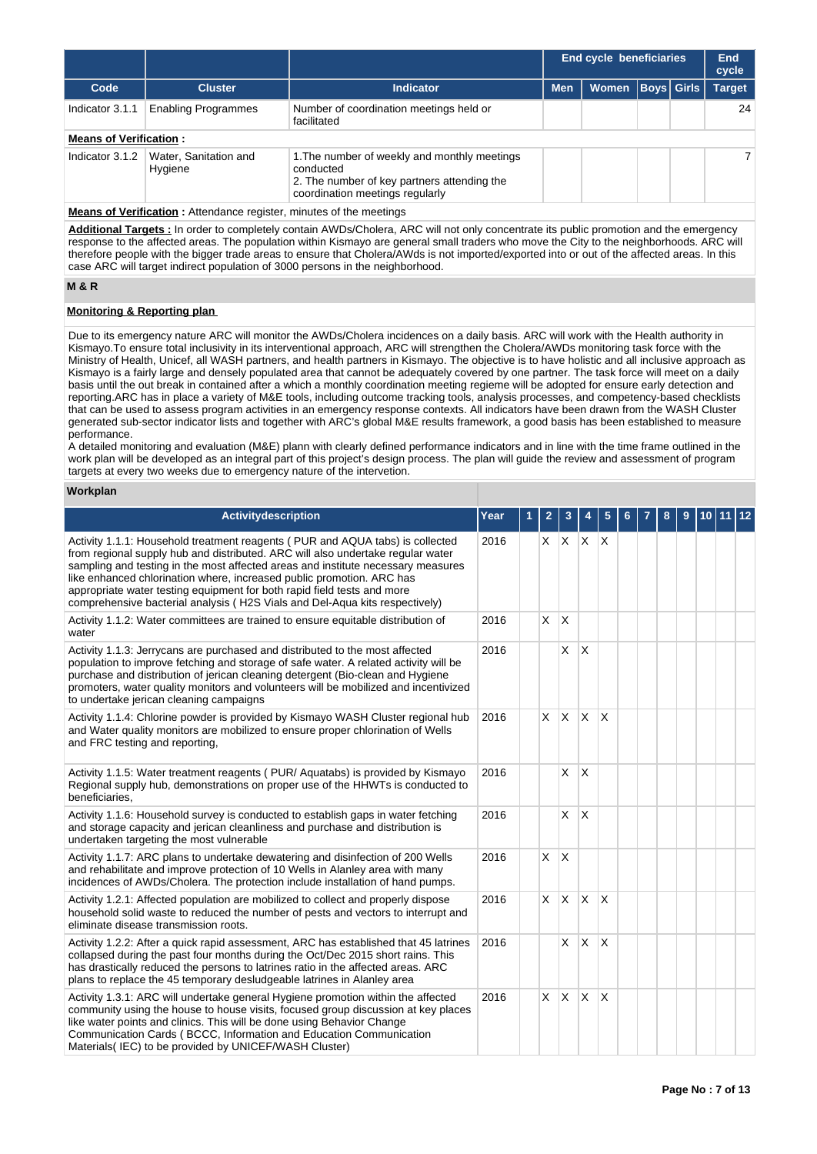|                               |                                  |                                                                                                                                             | <b>End cycle beneficiaries</b> |       |                   |  | End<br>cycle  |  |
|-------------------------------|----------------------------------|---------------------------------------------------------------------------------------------------------------------------------------------|--------------------------------|-------|-------------------|--|---------------|--|
| Code                          | <b>Cluster</b>                   | <b>Indicator</b>                                                                                                                            | <b>Men</b>                     | Women | <b>Boys</b> Girls |  | <b>Target</b> |  |
| Indicator 3.1.1               | <b>Enabling Programmes</b>       | Number of coordination meetings held or<br>facilitated                                                                                      |                                |       |                   |  | 24            |  |
| <b>Means of Verification:</b> |                                  |                                                                                                                                             |                                |       |                   |  |               |  |
| Indicator 3.1.2               | Water, Sanitation and<br>Hygiene | 1. The number of weekly and monthly meetings<br>conducted<br>2. The number of key partners attending the<br>coordination meetings regularly |                                |       |                   |  | 7             |  |

**Means of Verification :** Attendance register, minutes of the meetings

**Additional Targets :** In order to completely contain AWDs/Cholera, ARC will not only concentrate its public promotion and the emergency response to the affected areas. The population within Kismayo are general small traders who move the City to the neighborhoods. ARC will therefore people with the bigger trade areas to ensure that Cholera/AWds is not imported/exported into or out of the affected areas. In this case ARC will target indirect population of 3000 persons in the neighborhood.

# **M & R**

# **Monitoring & Reporting plan**

Due to its emergency nature ARC will monitor the AWDs/Cholera incidences on a daily basis. ARC will work with the Health authority in Kismayo.To ensure total inclusivity in its interventional approach, ARC will strengthen the Cholera/AWDs monitoring task force with the Ministry of Health, Unicef, all WASH partners, and health partners in Kismayo. The objective is to have holistic and all inclusive approach as Kismayo is a fairly large and densely populated area that cannot be adequately covered by one partner. The task force will meet on a daily basis until the out break in contained after a which a monthly coordination meeting regieme will be adopted for ensure early detection and reporting.ARC has in place a variety of M&E tools, including outcome tracking tools, analysis processes, and competency-based checklists that can be used to assess program activities in an emergency response contexts. All indicators have been drawn from the WASH Cluster generated sub-sector indicator lists and together with ARC's global M&E results framework, a good basis has been established to measure performance.

A detailed monitoring and evaluation (M&E) plann with clearly defined performance indicators and in line with the time frame outlined in the work plan will be developed as an integral part of this project's design process. The plan will guide the review and assessment of program targets at every two weeks due to emergency nature of the intervetion.

### **Workplan**

| Activitydescription                                                                                                                                                                                                                                                                                                                                                                                                                                                                     | Year | 1 | 2            | 3                 |              | 5                       |  | 8 | 9 | 10 | 11 | 12 |
|-----------------------------------------------------------------------------------------------------------------------------------------------------------------------------------------------------------------------------------------------------------------------------------------------------------------------------------------------------------------------------------------------------------------------------------------------------------------------------------------|------|---|--------------|-------------------|--------------|-------------------------|--|---|---|----|----|----|
| Activity 1.1.1: Household treatment reagents (PUR and AQUA tabs) is collected<br>from regional supply hub and distributed. ARC will also undertake regular water<br>sampling and testing in the most affected areas and institute necessary measures<br>like enhanced chlorination where, increased public promotion. ARC has<br>appropriate water testing equipment for both rapid field tests and more<br>comprehensive bacterial analysis (H2S Vials and Del-Aqua kits respectively) | 2016 |   |              | $x \mid x \mid x$ |              | $\mathsf{X}$            |  |   |   |    |    |    |
| Activity 1.1.2: Water committees are trained to ensure equitable distribution of<br>water                                                                                                                                                                                                                                                                                                                                                                                               | 2016 |   | X            | $\mathsf{X}$      |              |                         |  |   |   |    |    |    |
| Activity 1.1.3: Jerrycans are purchased and distributed to the most affected<br>population to improve fetching and storage of safe water. A related activity will be<br>purchase and distribution of jerican cleaning detergent (Bio-clean and Hygiene<br>promoters, water quality monitors and volunteers will be mobilized and incentivized<br>to undertake jerican cleaning campaigns                                                                                                | 2016 |   |              | X                 | ΙX           |                         |  |   |   |    |    |    |
| Activity 1.1.4: Chlorine powder is provided by Kismayo WASH Cluster regional hub<br>and Water quality monitors are mobilized to ensure proper chlorination of Wells<br>and FRC testing and reporting,                                                                                                                                                                                                                                                                                   | 2016 |   | $\mathsf{X}$ | $\mathsf{X}$      | Ιx.          | $\times$                |  |   |   |    |    |    |
| Activity 1.1.5: Water treatment reagents (PUR/Aquatabs) is provided by Kismayo<br>Regional supply hub, demonstrations on proper use of the HHWTs is conducted to<br>beneficiaries,                                                                                                                                                                                                                                                                                                      | 2016 |   |              | $\times$          | <sup>X</sup> |                         |  |   |   |    |    |    |
| Activity 1.1.6: Household survey is conducted to establish gaps in water fetching<br>and storage capacity and jerican cleanliness and purchase and distribution is<br>undertaken targeting the most vulnerable                                                                                                                                                                                                                                                                          | 2016 |   |              | X                 | $\mathsf{X}$ |                         |  |   |   |    |    |    |
| Activity 1.1.7: ARC plans to undertake dewatering and disinfection of 200 Wells<br>and rehabilitate and improve protection of 10 Wells in Alanley area with many<br>incidences of AWDs/Cholera. The protection include installation of hand pumps.                                                                                                                                                                                                                                      | 2016 |   | X.           | $\mathsf{X}$      |              |                         |  |   |   |    |    |    |
| Activity 1.2.1: Affected population are mobilized to collect and properly dispose<br>household solid waste to reduced the number of pests and vectors to interrupt and<br>eliminate disease transmission roots.                                                                                                                                                                                                                                                                         | 2016 |   | $\times$     | $\mathsf{X}$      | $\mathsf{X}$ | X                       |  |   |   |    |    |    |
| Activity 1.2.2: After a quick rapid assessment, ARC has established that 45 latrines<br>collapsed during the past four months during the Oct/Dec 2015 short rains. This<br>has drastically reduced the persons to latrines ratio in the affected areas. ARC<br>plans to replace the 45 temporary desludgeable latrines in Alanley area                                                                                                                                                  | 2016 |   |              | X                 | $\mathsf{X}$ | $\overline{\mathsf{x}}$ |  |   |   |    |    |    |
| Activity 1.3.1: ARC will undertake general Hygiene promotion within the affected<br>community using the house to house visits, focused group discussion at key places<br>like water points and clinics. This will be done using Behavior Change<br>Communication Cards (BCCC, Information and Education Communication<br>Materials (IEC) to be provided by UNICEF/WASH Cluster)                                                                                                         | 2016 |   | $\times$     | $\mathsf{X}$      | $\mathsf{X}$ | $\overline{\mathsf{x}}$ |  |   |   |    |    |    |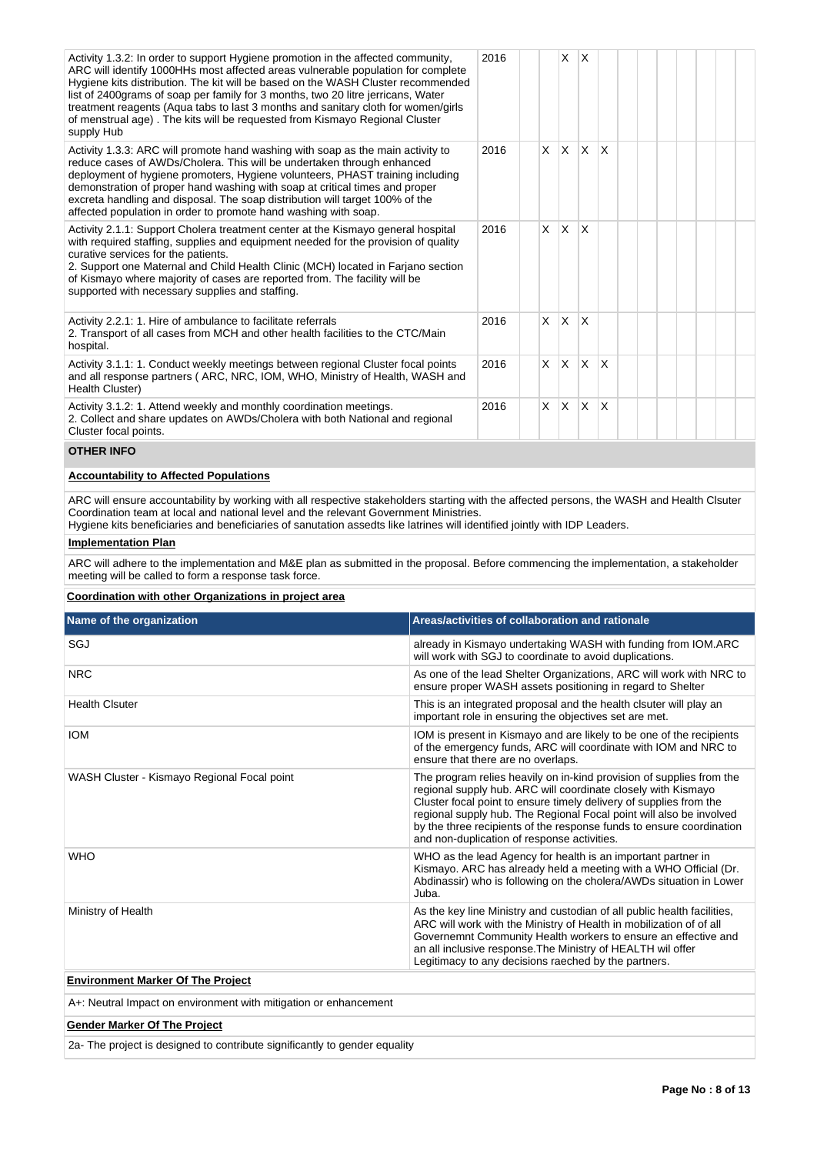| Activity 1.3.2: In order to support Hygiene promotion in the affected community,<br>ARC will identify 1000HHs most affected areas vulnerable population for complete<br>Hygiene kits distribution. The kit will be based on the WASH Cluster recommended<br>list of 2400 grams of soap per family for 3 months, two 20 litre jerricans, Water<br>treatment reagents (Aqua tabs to last 3 months and sanitary cloth for women/girls<br>of menstrual age). The kits will be requested from Kismayo Regional Cluster<br>supply Hub | 2016 |          | X   | X            |   |  |  |  |
|---------------------------------------------------------------------------------------------------------------------------------------------------------------------------------------------------------------------------------------------------------------------------------------------------------------------------------------------------------------------------------------------------------------------------------------------------------------------------------------------------------------------------------|------|----------|-----|--------------|---|--|--|--|
| Activity 1.3.3: ARC will promote hand washing with soap as the main activity to<br>reduce cases of AWDs/Cholera. This will be undertaken through enhanced<br>deployment of hygiene promoters, Hygiene volunteers, PHAST training including<br>demonstration of proper hand washing with soap at critical times and proper<br>excreta handling and disposal. The soap distribution will target 100% of the<br>affected population in order to promote hand washing with soap.                                                    | 2016 | $\times$ | ΙX. | $\mathsf{x}$ | X |  |  |  |
| Activity 2.1.1: Support Cholera treatment center at the Kismayo general hospital<br>with required staffing, supplies and equipment needed for the provision of quality<br>curative services for the patients.<br>2. Support one Maternal and Child Health Clinic (MCH) located in Farjano section<br>of Kismayo where majority of cases are reported from. The facility will be<br>supported with necessary supplies and staffing.                                                                                              | 2016 | X        | ΙX. | X            |   |  |  |  |
| Activity 2.2.1: 1. Hire of ambulance to facilitate referrals<br>2. Transport of all cases from MCH and other health facilities to the CTC/Main<br>hospital.                                                                                                                                                                                                                                                                                                                                                                     | 2016 | X.       | ΙX. | X            |   |  |  |  |
| Activity 3.1.1: 1. Conduct weekly meetings between regional Cluster focal points<br>and all response partners (ARC, NRC, IOM, WHO, Ministry of Health, WASH and<br>Health Cluster)                                                                                                                                                                                                                                                                                                                                              | 2016 | $\times$ | IX. | $\mathsf{x}$ | X |  |  |  |
| Activity 3.1.2: 1. Attend weekly and monthly coordination meetings.<br>2. Collect and share updates on AWDs/Cholera with both National and regional<br>Cluster focal points.                                                                                                                                                                                                                                                                                                                                                    | 2016 | X        | ΙX. | $\mathsf{x}$ | X |  |  |  |

#### **OTHER INFO**

# **Accountability to Affected Populations**

ARC will ensure accountability by working with all respective stakeholders starting with the affected persons, the WASH and Health Clsuter Coordination team at local and national level and the relevant Government Ministries.

Hygiene kits beneficiaries and beneficiaries of sanutation assedts like latrines will identified jointly with IDP Leaders.

## **Implementation Plan**

ARC will adhere to the implementation and M&E plan as submitted in the proposal. Before commencing the implementation, a stakeholder meeting will be called to form a response task force.

# **Coordination with other Organizations in project area**

| Name of the organization                                         | Areas/activities of collaboration and rationale                                                                                                                                                                                                                                                                                                                                                           |  |  |  |
|------------------------------------------------------------------|-----------------------------------------------------------------------------------------------------------------------------------------------------------------------------------------------------------------------------------------------------------------------------------------------------------------------------------------------------------------------------------------------------------|--|--|--|
| SGJ                                                              | already in Kismayo undertaking WASH with funding from IOM.ARC<br>will work with SGJ to coordinate to avoid duplications.                                                                                                                                                                                                                                                                                  |  |  |  |
| <b>NRC</b>                                                       | As one of the lead Shelter Organizations, ARC will work with NRC to<br>ensure proper WASH assets positioning in regard to Shelter                                                                                                                                                                                                                                                                         |  |  |  |
| <b>Health Clsuter</b>                                            | This is an integrated proposal and the health clsuter will play an<br>important role in ensuring the objectives set are met.                                                                                                                                                                                                                                                                              |  |  |  |
| <b>IOM</b>                                                       | IOM is present in Kismayo and are likely to be one of the recipients<br>of the emergency funds, ARC will coordinate with IOM and NRC to<br>ensure that there are no overlaps.                                                                                                                                                                                                                             |  |  |  |
| WASH Cluster - Kismayo Regional Focal point                      | The program relies heavily on in-kind provision of supplies from the<br>regional supply hub. ARC will coordinate closely with Kismayo<br>Cluster focal point to ensure timely delivery of supplies from the<br>regional supply hub. The Regional Focal point will also be involved<br>by the three recipients of the response funds to ensure coordination<br>and non-duplication of response activities. |  |  |  |
| <b>WHO</b>                                                       | WHO as the lead Agency for health is an important partner in<br>Kismayo. ARC has already held a meeting with a WHO Official (Dr.<br>Abdinassir) who is following on the cholera/AWDs situation in Lower<br>Juba.                                                                                                                                                                                          |  |  |  |
| Ministry of Health                                               | As the key line Ministry and custodian of all public health facilities,<br>ARC will work with the Ministry of Health in mobilization of of all<br>Governemnt Community Health workers to ensure an effective and<br>an all inclusive response. The Ministry of HEALTH wil offer<br>Legitimacy to any decisions raeched by the partners.                                                                   |  |  |  |
| <b>Environment Marker Of The Project</b>                         |                                                                                                                                                                                                                                                                                                                                                                                                           |  |  |  |
| A+: Neutral Impact on environment with mitigation or enhancement |                                                                                                                                                                                                                                                                                                                                                                                                           |  |  |  |

# **Gender Marker Of The Project**

2a- The project is designed to contribute significantly to gender equality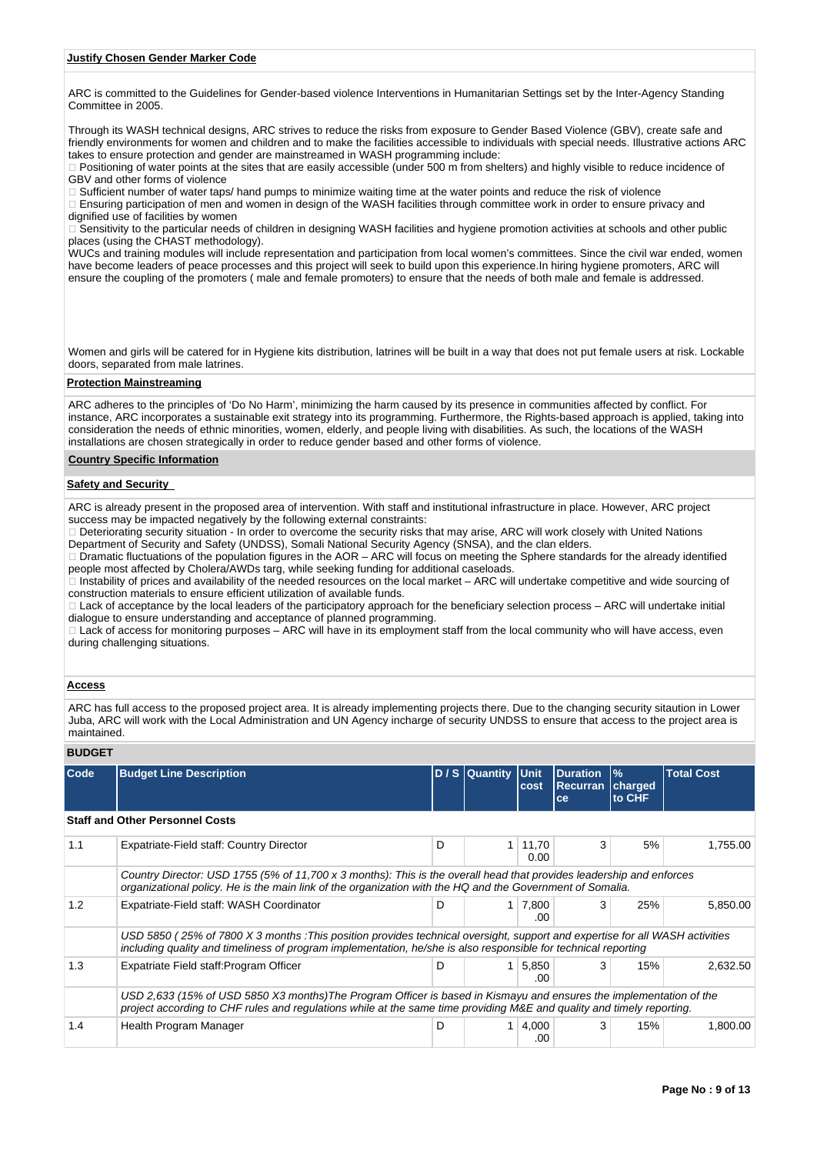#### **Justify Chosen Gender Marker Code**

ARC is committed to the Guidelines for Gender-based violence Interventions in Humanitarian Settings set by the Inter-Agency Standing Committee in 2005.

Through its WASH technical designs, ARC strives to reduce the risks from exposure to Gender Based Violence (GBV), create safe and friendly environments for women and children and to make the facilities accessible to individuals with special needs. Illustrative actions ARC takes to ensure protection and gender are mainstreamed in WASH programming include:

□ Positioning of water points at the sites that are easily accessible (under 500 m from shelters) and highly visible to reduce incidence of GBV and other forms of violence

Sufficient number of water taps/ hand pumps to minimize waiting time at the water points and reduce the risk of violence

Ensuring participation of men and women in design of the WASH facilities through committee work in order to ensure privacy and dignified use of facilities by women

Sensitivity to the particular needs of children in designing WASH facilities and hygiene promotion activities at schools and other public places (using the CHAST methodology).

WUCs and training modules will include representation and participation from local women's committees. Since the civil war ended, women have become leaders of peace processes and this project will seek to build upon this experience.In hiring hygiene promoters, ARC will ensure the coupling of the promoters ( male and female promoters) to ensure that the needs of both male and female is addressed.

Women and girls will be catered for in Hygiene kits distribution, latrines will be built in a way that does not put female users at risk. Lockable doors, separated from male latrines.

### **Protection Mainstreaming**

ARC adheres to the principles of 'Do No Harm', minimizing the harm caused by its presence in communities affected by conflict. For instance, ARC incorporates a sustainable exit strategy into its programming. Furthermore, the Rights-based approach is applied, taking into consideration the needs of ethnic minorities, women, elderly, and people living with disabilities. As such, the locations of the WASH installations are chosen strategically in order to reduce gender based and other forms of violence.

#### **Country Specific Information**

### **Safety and Security**

ARC is already present in the proposed area of intervention. With staff and institutional infrastructure in place. However, ARC project success may be impacted negatively by the following external constraints:

Deteriorating security situation - In order to overcome the security risks that may arise, ARC will work closely with United Nations Department of Security and Safety (UNDSS), Somali National Security Agency (SNSA), and the clan elders.

□ Dramatic fluctuations of the population figures in the AOR – ARC will focus on meeting the Sphere standards for the already identified people most affected by Cholera/AWDs targ, while seeking funding for additional caseloads.

 $\overline{a}$  Instability of prices and availability of the needed resources on the local market – ARC will undertake competitive and wide sourcing of construction materials to ensure efficient utilization of available funds.

Lack of acceptance by the local leaders of the participatory approach for the beneficiary selection process – ARC will undertake initial dialogue to ensure understanding and acceptance of planned programming.

⊥ Lack of access for monitoring purposes – ARC will have in its employment staff from the local community who will have access, even during challenging situations.

# **Access**

ARC has full access to the proposed project area. It is already implementing projects there. Due to the changing security sitaution in Lower Juba, ARC will work with the Local Administration and UN Agency incharge of security UNDSS to ensure that access to the project area is maintained.

### **BUDGET**

| <b>Code</b> | <b>Budget Line Description</b>                                                                                                                                                                                                                 |   | D / S Quantity Unit | cost           | <b>Duration</b><br><b>Recurran</b> | $\frac{9}{6}$<br>charged | <b>Total Cost</b> |
|-------------|------------------------------------------------------------------------------------------------------------------------------------------------------------------------------------------------------------------------------------------------|---|---------------------|----------------|------------------------------------|--------------------------|-------------------|
|             |                                                                                                                                                                                                                                                |   |                     |                | ce                                 | to CHF                   |                   |
|             | <b>Staff and Other Personnel Costs</b>                                                                                                                                                                                                         |   |                     |                |                                    |                          |                   |
| 1.1         | Expatriate-Field staff: Country Director                                                                                                                                                                                                       | D |                     | 11,70<br>0.00  | 3                                  | 5%                       | 1,755.00          |
|             | Country Director: USD 1755 (5% of 11,700 x 3 months): This is the overall head that provides leadership and enforces<br>organizational policy. He is the main link of the organization with the HQ and the Government of Somalia.              |   |                     |                |                                    |                          |                   |
| 1.2         | Expatriate-Field staff: WASH Coordinator                                                                                                                                                                                                       | D |                     | 1 7,800<br>.00 | 3                                  | 25%                      | 5,850.00          |
|             | USD 5850 (25% of 7800 X 3 months : This position provides technical oversight, support and expertise for all WASH activities<br>including quality and timeliness of program implementation, he/she is also responsible for technical reporting |   |                     |                |                                    |                          |                   |
| 1.3         | Expatriate Field staff: Program Officer                                                                                                                                                                                                        | D |                     | 5,850<br>.00   | 3                                  | 15%                      | 2,632.50          |
|             | USD 2,633 (15% of USD 5850 X3 months)The Program Officer is based in Kismayu and ensures the implementation of the<br>project according to CHF rules and regulations while at the same time providing M&E and quality and timely reporting.    |   |                     |                |                                    |                          |                   |
| 1.4         | Health Program Manager                                                                                                                                                                                                                         | D |                     | 4,000<br>.00   | 3                                  | 15%                      | 1,800.00          |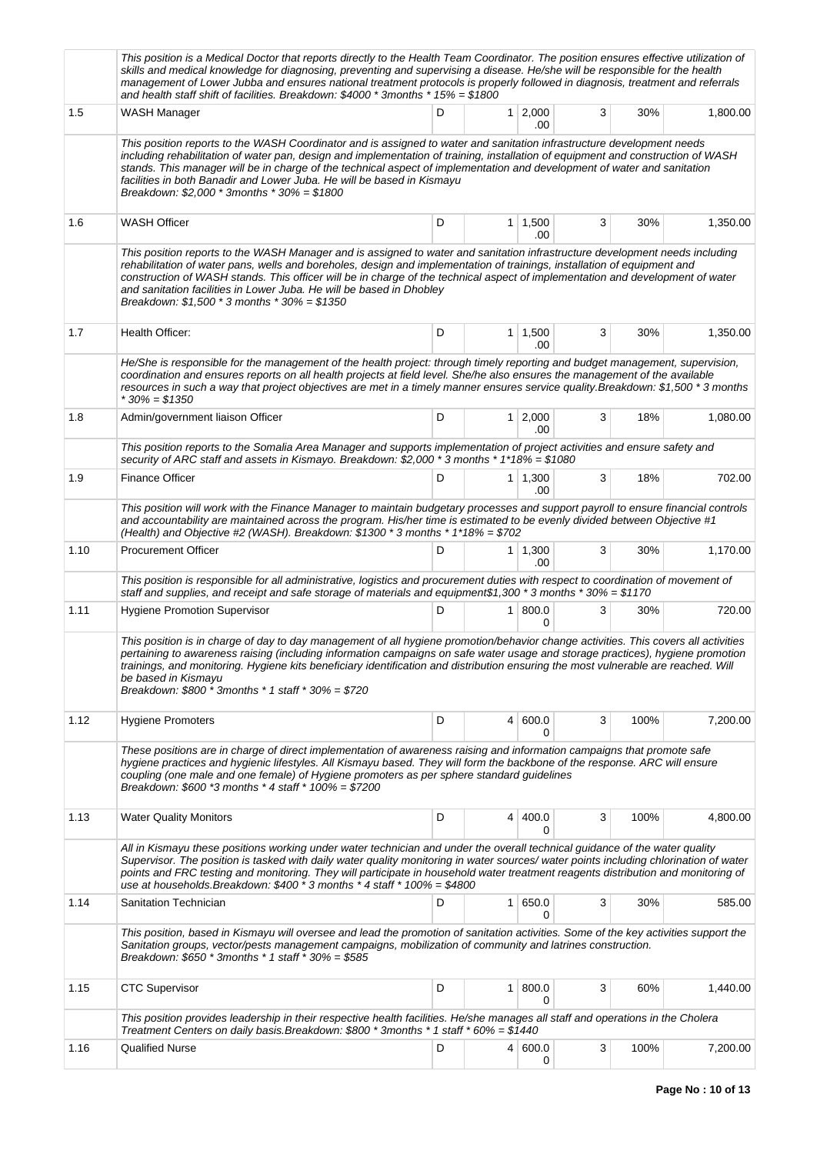|      | This position is a Medical Doctor that reports directly to the Health Team Coordinator. The position ensures effective utilization of<br>skills and medical knowledge for diagnosing, preventing and supervising a disease. He/she will be responsible for the health<br>management of Lower Jubba and ensures national treatment protocols is properly followed in diagnosis, treatment and referrals<br>and health staff shift of facilities. Breakdown: $$4000$ * 3months * 15% = \$1800                         |   |                |                       |   |      |          |
|------|---------------------------------------------------------------------------------------------------------------------------------------------------------------------------------------------------------------------------------------------------------------------------------------------------------------------------------------------------------------------------------------------------------------------------------------------------------------------------------------------------------------------|---|----------------|-----------------------|---|------|----------|
| 1.5  | WASH Manager                                                                                                                                                                                                                                                                                                                                                                                                                                                                                                        | D | 1 <sup>1</sup> | 2,000<br>.00          | 3 | 30%  | 1,800.00 |
|      | This position reports to the WASH Coordinator and is assigned to water and sanitation infrastructure development needs<br>including rehabilitation of water pan, design and implementation of training, installation of equipment and construction of WASH<br>stands. This manager will be in charge of the technical aspect of implementation and development of water and sanitation<br>facilities in both Banadir and Lower Juba. He will be based in Kismayu<br>Breakdown: $$2,000 * 3$ months $*30% = $1800$   |   |                |                       |   |      |          |
| 1.6  | <b>WASH Officer</b>                                                                                                                                                                                                                                                                                                                                                                                                                                                                                                 | D |                | $1 \mid 1,500$<br>.00 | 3 | 30%  | 1,350.00 |
|      | This position reports to the WASH Manager and is assigned to water and sanitation infrastructure development needs including<br>rehabilitation of water pans, wells and boreholes, design and implementation of trainings, installation of equipment and<br>construction of WASH stands. This officer will be in charge of the technical aspect of implementation and development of water<br>and sanitation facilities in Lower Juba. He will be based in Dhobley<br>Breakdown: $$1,500 * 3$ months $*30% = $1350$ |   |                |                       |   |      |          |
| 1.7  | Health Officer:                                                                                                                                                                                                                                                                                                                                                                                                                                                                                                     | D |                | $1 \mid 1,500$<br>.00 | 3 | 30%  | 1,350.00 |
|      | He/She is responsible for the management of the health project: through timely reporting and budget management, supervision,<br>coordination and ensures reports on all health projects at field level. She/he also ensures the management of the available<br>resources in such a way that project objectives are met in a timely manner ensures service quality. Breakdown: \$1,500 * 3 months<br>$*30\% = $1350$                                                                                                 |   |                |                       |   |      |          |
| 1.8  | Admin/government liaison Officer                                                                                                                                                                                                                                                                                                                                                                                                                                                                                    | D | 1 <sup>1</sup> | 2,000<br>.00          | 3 | 18%  | 1,080.00 |
|      | This position reports to the Somalia Area Manager and supports implementation of project activities and ensure safety and<br>security of ARC staff and assets in Kismayo. Breakdown: \$2,000 * 3 months * 1*18% = \$1080                                                                                                                                                                                                                                                                                            |   |                |                       |   |      |          |
| 1.9  | <b>Finance Officer</b>                                                                                                                                                                                                                                                                                                                                                                                                                                                                                              | D |                | $1 \mid 1,300$<br>.00 | 3 | 18%  | 702.00   |
|      | This position will work with the Finance Manager to maintain budgetary processes and support payroll to ensure financial controls<br>and accountability are maintained across the program. His/her time is estimated to be evenly divided between Objective #1<br>(Health) and Objective #2 (WASH). Breakdown: \$1300 $*$ 3 months $*$ 1*18% = \$702                                                                                                                                                                |   |                |                       |   |      |          |
| 1.10 | <b>Procurement Officer</b>                                                                                                                                                                                                                                                                                                                                                                                                                                                                                          | D |                | $1 \mid 1,300$<br>.00 | 3 | 30%  | 1,170.00 |
|      | This position is responsible for all administrative, logistics and procurement duties with respect to coordination of movement of<br>staff and supplies, and receipt and safe storage of materials and equipment\$1,300 * 3 months * 30% = \$1170                                                                                                                                                                                                                                                                   |   |                |                       |   |      |          |
| 1.11 | <b>Hygiene Promotion Supervisor</b>                                                                                                                                                                                                                                                                                                                                                                                                                                                                                 | D | 1 <sup>1</sup> | 800.0<br>0            | 3 | 30%  | 720.00   |
|      | This position is in charge of day to day management of all hygiene promotion/behavior change activities. This covers all activities<br>pertaining to awareness raising (including information campaigns on safe water usage and storage practices), hygiene promotion<br>trainings, and monitoring. Hygiene kits beneficiary identification and distribution ensuring the most vulnerable are reached. Will<br>be based in Kismayu<br>Breakdown: $$800 * 3$ months * 1 staff * 30% = \$720                          |   |                |                       |   |      |          |
| 1.12 | <b>Hygiene Promoters</b>                                                                                                                                                                                                                                                                                                                                                                                                                                                                                            | D | 4              | 600.0<br>0            | 3 | 100% | 7,200.00 |
|      | These positions are in charge of direct implementation of awareness raising and information campaigns that promote safe<br>hygiene practices and hygienic lifestyles. All Kismayu based. They will form the backbone of the response. ARC will ensure<br>coupling (one male and one female) of Hygiene promoters as per sphere standard guidelines<br>Breakdown: $$600$ *3 months * 4 staff * $100\% = $7200$                                                                                                       |   |                |                       |   |      |          |
| 1.13 | <b>Water Quality Monitors</b>                                                                                                                                                                                                                                                                                                                                                                                                                                                                                       | D | $\overline{4}$ | 400.0<br>0            | 3 | 100% | 4,800.00 |
|      | All in Kismayu these positions working under water technician and under the overall technical guidance of the water quality<br>Supervisor. The position is tasked with daily water quality monitoring in water sources/ water points including chlorination of water<br>points and FRC testing and monitoring. They will participate in household water treatment reagents distribution and monitoring of<br>use at households. Breakdown: $$400 * 3$ months *4 staff * $100% = $4800$                              |   |                |                       |   |      |          |
| 1.14 | Sanitation Technician                                                                                                                                                                                                                                                                                                                                                                                                                                                                                               | D | 1 <sup>1</sup> | 650.0<br>0            | 3 | 30%  | 585.00   |
|      | This position, based in Kismayu will oversee and lead the promotion of sanitation activities. Some of the key activities support the<br>Sanitation groups, vector/pests management campaigns, mobilization of community and latrines construction.<br>Breakdown: $$650 * 3$ months * 1 staff * 30% = \$585                                                                                                                                                                                                          |   |                |                       |   |      |          |
| 1.15 | <b>CTC Supervisor</b>                                                                                                                                                                                                                                                                                                                                                                                                                                                                                               | D | 1 <sup>1</sup> | 800.0<br>0            | 3 | 60%  | 1,440.00 |
|      | This position provides leadership in their respective health facilities. He/she manages all staff and operations in the Cholera<br>Treatment Centers on daily basis. Breakdown: \$800 * 3months * 1 staff * 60% = \$1440                                                                                                                                                                                                                                                                                            |   |                |                       |   |      |          |
| 1.16 | <b>Qualified Nurse</b>                                                                                                                                                                                                                                                                                                                                                                                                                                                                                              | D |                | 4   600.0<br>0        | 3 | 100% | 7,200.00 |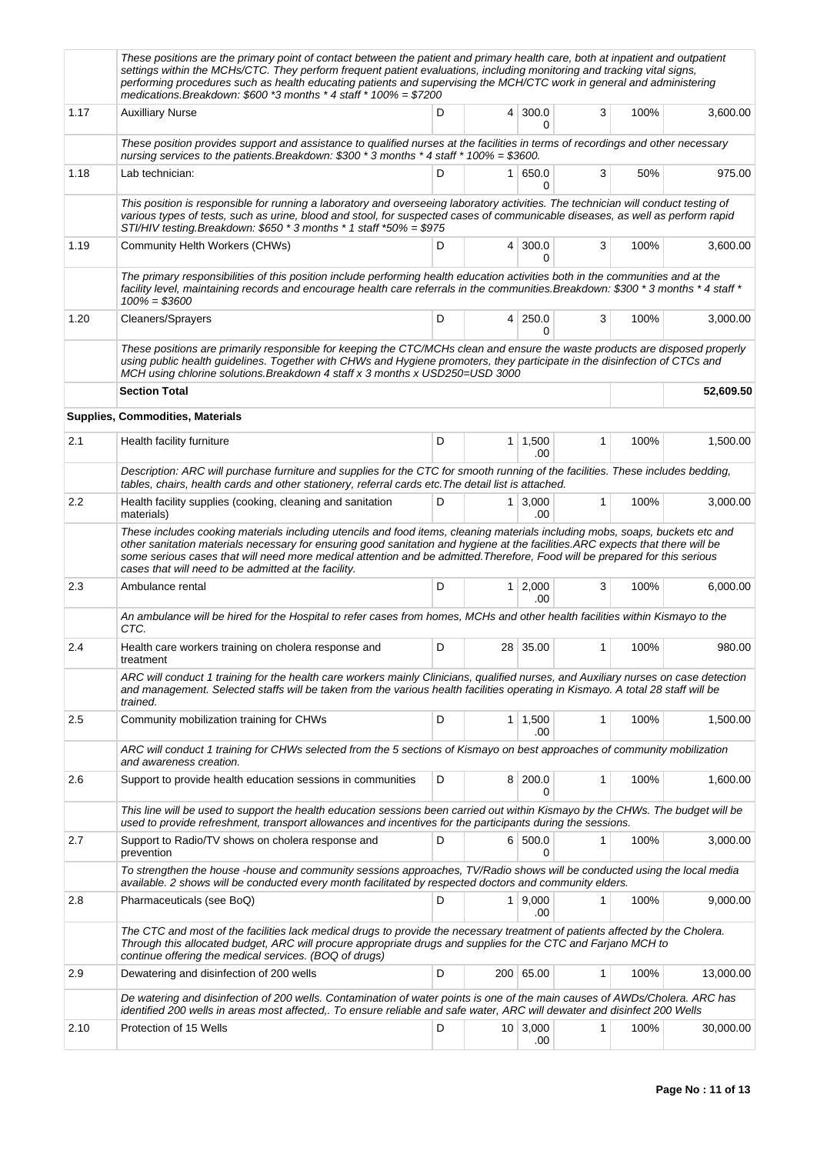|      | These positions are the primary point of contact between the patient and primary health care, both at inpatient and outpatient<br>settings within the MCHs/CTC. They perform frequent patient evaluations, including monitoring and tracking vital signs,<br>performing procedures such as health educating patients and supervising the MCH/CTC work in general and administering<br>medications. Breakdown: $$600$ *3 months * 4 staff * 100% = $$7200$             |   |                |                       |   |      |           |
|------|-----------------------------------------------------------------------------------------------------------------------------------------------------------------------------------------------------------------------------------------------------------------------------------------------------------------------------------------------------------------------------------------------------------------------------------------------------------------------|---|----------------|-----------------------|---|------|-----------|
| 1.17 | <b>Auxilliary Nurse</b>                                                                                                                                                                                                                                                                                                                                                                                                                                               | D | $\overline{4}$ | 300.0<br>0            | 3 | 100% | 3,600.00  |
|      | These position provides support and assistance to qualified nurses at the facilities in terms of recordings and other necessary<br>nursing services to the patients. Breakdown: \$300 * 3 months * 4 staff * 100% = \$3600.                                                                                                                                                                                                                                           |   |                |                       |   |      |           |
| 1.18 | Lab technician:                                                                                                                                                                                                                                                                                                                                                                                                                                                       | D |                | 1   650.0<br>0        | 3 | 50%  | 975.00    |
|      | This position is responsible for running a laboratory and overseeing laboratory activities. The technician will conduct testing of<br>various types of tests, such as urine, blood and stool, for suspected cases of communicable diseases, as well as perform rapid<br>STI/HIV testing.Breakdown: \$650 * 3 months * 1 staff *50% = \$975                                                                                                                            |   |                |                       |   |      |           |
| 1.19 | <b>Community Helth Workers (CHWs)</b>                                                                                                                                                                                                                                                                                                                                                                                                                                 | D |                | 4 300.0<br>$\Omega$   | 3 | 100% | 3,600.00  |
|      | The primary responsibilities of this position include performing health education activities both in the communities and at the<br>facility level, maintaining records and encourage health care referrals in the communities. Breakdown: \$300 * 3 months * 4 staff *<br>$100\% = $3600$                                                                                                                                                                             |   |                |                       |   |      |           |
| 1.20 | <b>Cleaners/Sprayers</b>                                                                                                                                                                                                                                                                                                                                                                                                                                              | D |                | 4 250.0<br>0          | 3 | 100% | 3,000.00  |
|      | These positions are primarily responsible for keeping the CTC/MCHs clean and ensure the waste products are disposed properly<br>using public health guidelines. Together with CHWs and Hygiene promoters, they participate in the disinfection of CTCs and<br>MCH using chlorine solutions. Breakdown 4 staff x 3 months x USD250=USD 3000<br><b>Section Total</b>                                                                                                    |   |                |                       |   |      | 52.609.50 |
|      | Supplies, Commodities, Materials                                                                                                                                                                                                                                                                                                                                                                                                                                      |   |                |                       |   |      |           |
| 2.1  | Health facility furniture                                                                                                                                                                                                                                                                                                                                                                                                                                             | D |                | $1 \mid 1,500$        | 1 | 100% | 1,500.00  |
|      | Description: ARC will purchase furniture and supplies for the CTC for smooth running of the facilities. These includes bedding,                                                                                                                                                                                                                                                                                                                                       |   |                | .00                   |   |      |           |
| 2.2  | tables, chairs, health cards and other stationery, referral cards etc. The detail list is attached.<br>Health facility supplies (cooking, cleaning and sanitation                                                                                                                                                                                                                                                                                                     | D |                | $1 \mid 3,000$        | 1 | 100% | 3,000.00  |
|      | materials)<br>These includes cooking materials including utencils and food items, cleaning materials including mobs, soaps, buckets etc and<br>other sanitation materials necessary for ensuring good sanitation and hygiene at the facilities. ARC expects that there will be<br>some serious cases that will need more medical attention and be admitted. Therefore, Food will be prepared for this serious<br>cases that will need to be admitted at the facility. |   |                | .00                   |   |      |           |
| 2.3  | Ambulance rental                                                                                                                                                                                                                                                                                                                                                                                                                                                      | D |                | $1 \mid 2,000$<br>.00 | 3 | 100% | 6,000.00  |
|      | An ambulance will be hired for the Hospital to refer cases from homes, MCHs and other health facilities within Kismayo to the<br>CTC.                                                                                                                                                                                                                                                                                                                                 |   |                |                       |   |      |           |
| 2.4  | Health care workers training on cholera response and<br>treatment                                                                                                                                                                                                                                                                                                                                                                                                     | D | 28             | 35.00                 | 1 | 100% | 980.00    |
|      | ARC will conduct 1 training for the health care workers mainly Clinicians, qualified nurses, and Auxiliary nurses on case detection<br>and management. Selected staffs will be taken from the various health facilities operating in Kismayo. A total 28 staff will be<br>trained.                                                                                                                                                                                    |   |                |                       |   |      |           |
| 2.5  | Community mobilization training for CHWs                                                                                                                                                                                                                                                                                                                                                                                                                              | D |                | 1 1,500<br>.00        | 1 | 100% | 1,500.00  |
|      | ARC will conduct 1 training for CHWs selected from the 5 sections of Kismayo on best approaches of community mobilization<br>and awareness creation.                                                                                                                                                                                                                                                                                                                  |   |                |                       |   |      |           |
| 2.6  | Support to provide health education sessions in communities                                                                                                                                                                                                                                                                                                                                                                                                           | D |                | 8 200.0<br>0          | 1 | 100% | 1,600.00  |
|      | This line will be used to support the health education sessions been carried out within Kismayo by the CHWs. The budget will be<br>used to provide refreshment, transport allowances and incentives for the participants during the sessions.                                                                                                                                                                                                                         |   |                |                       |   |      |           |
| 2.7  | Support to Radio/TV shows on cholera response and<br>prevention                                                                                                                                                                                                                                                                                                                                                                                                       | D |                | 6 500.0<br>0          | 1 | 100% | 3,000.00  |
|      | To strengthen the house-house and community sessions approaches, TV/Radio shows will be conducted using the local media<br>available. 2 shows will be conducted every month facilitated by respected doctors and community elders.                                                                                                                                                                                                                                    |   |                |                       |   |      |           |
| 2.8  | Pharmaceuticals (see BoQ)                                                                                                                                                                                                                                                                                                                                                                                                                                             | D |                | 1   9,000<br>.00      | 1 | 100% | 9,000.00  |
|      | The CTC and most of the facilities lack medical drugs to provide the necessary treatment of patients affected by the Cholera.<br>Through this allocated budget, ARC will procure appropriate drugs and supplies for the CTC and Farjano MCH to<br>continue offering the medical services. (BOQ of drugs)                                                                                                                                                              |   |                |                       |   |      |           |
| 2.9  | Dewatering and disinfection of 200 wells                                                                                                                                                                                                                                                                                                                                                                                                                              | D |                | 200 65.00             | 1 | 100% | 13,000.00 |
|      | De watering and disinfection of 200 wells. Contamination of water points is one of the main causes of AWDs/Cholera. ARC has<br>identified 200 wells in areas most affected,. To ensure reliable and safe water, ARC will dewater and disinfect 200 Wells                                                                                                                                                                                                              |   |                |                       |   |      |           |
| 2.10 | Protection of 15 Wells                                                                                                                                                                                                                                                                                                                                                                                                                                                | D |                | 10 3,000<br>.00       | 1 | 100% | 30,000.00 |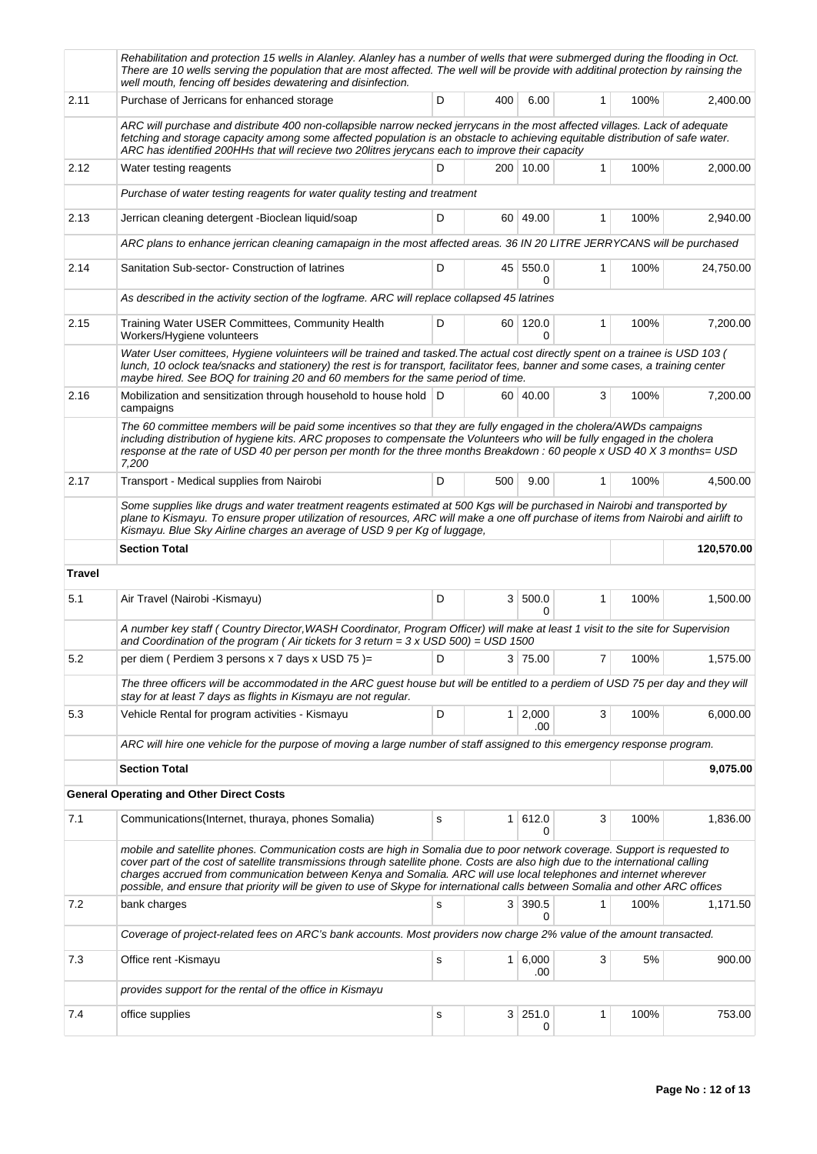|               | Rehabilitation and protection 15 wells in Alanley. Alanley has a number of wells that were submerged during the flooding in Oct.<br>There are 10 wells serving the population that are most affected. The well will be provide with additinal protection by rainsing the<br>well mouth, fencing off besides dewatering and disinfection.                                                                                                                                                                             |   |     |                       |   |      |            |
|---------------|----------------------------------------------------------------------------------------------------------------------------------------------------------------------------------------------------------------------------------------------------------------------------------------------------------------------------------------------------------------------------------------------------------------------------------------------------------------------------------------------------------------------|---|-----|-----------------------|---|------|------------|
| 2.11          | Purchase of Jerricans for enhanced storage                                                                                                                                                                                                                                                                                                                                                                                                                                                                           | D | 400 | 6.00                  | 1 | 100% | 2,400.00   |
|               | ARC will purchase and distribute 400 non-collapsible narrow necked jerrycans in the most affected villages. Lack of adequate<br>fetching and storage capacity among some affected population is an obstacle to achieving equitable distribution of safe water.<br>ARC has identified 200HHs that will recieve two 20litres jerycans each to improve their capacity                                                                                                                                                   |   |     |                       |   |      |            |
| 2.12          | Water testing reagents                                                                                                                                                                                                                                                                                                                                                                                                                                                                                               | D |     | 200 10.00             | 1 | 100% | 2,000.00   |
|               | Purchase of water testing reagents for water quality testing and treatment                                                                                                                                                                                                                                                                                                                                                                                                                                           |   |     |                       |   |      |            |
| 2.13          | Jerrican cleaning detergent - Bioclean liquid/soap                                                                                                                                                                                                                                                                                                                                                                                                                                                                   | D |     | 60 49.00              | 1 | 100% | 2,940.00   |
|               | ARC plans to enhance jerrican cleaning camapaign in the most affected areas. 36 IN 20 LITRE JERRYCANS will be purchased                                                                                                                                                                                                                                                                                                                                                                                              |   |     |                       |   |      |            |
| 2.14          | Sanitation Sub-sector- Construction of latrines                                                                                                                                                                                                                                                                                                                                                                                                                                                                      | D |     | 45 550.0<br>0         | 1 | 100% | 24,750.00  |
|               | As described in the activity section of the logframe. ARC will replace collapsed 45 latrines                                                                                                                                                                                                                                                                                                                                                                                                                         |   |     |                       |   |      |            |
| 2.15          | Training Water USER Committees, Community Health<br>Workers/Hygiene volunteers                                                                                                                                                                                                                                                                                                                                                                                                                                       | D |     | 60 120.0<br>0         | 1 | 100% | 7,200.00   |
|               | Water User comittees, Hygiene voluinteers will be trained and tasked. The actual cost directly spent on a trainee is USD 103 (<br>lunch, 10 oclock tea/snacks and stationery) the rest is for transport, facilitator fees, banner and some cases, a training center<br>maybe hired. See BOQ for training 20 and 60 members for the same period of time.                                                                                                                                                              |   |     |                       |   |      |            |
| 2.16          | Mobilization and sensitization through household to house hold   D<br>campaigns                                                                                                                                                                                                                                                                                                                                                                                                                                      |   |     | 60 40.00              | 3 | 100% | 7,200.00   |
|               | The 60 committee members will be paid some incentives so that they are fully engaged in the cholera/AWDs campaigns<br>including distribution of hygiene kits. ARC proposes to compensate the Volunteers who will be fully engaged in the cholera<br>response at the rate of USD 40 per person per month for the three months Breakdown : 60 people x USD 40 X 3 months= USD<br>7,200                                                                                                                                 |   |     |                       |   |      |            |
| 2.17          | Transport - Medical supplies from Nairobi                                                                                                                                                                                                                                                                                                                                                                                                                                                                            | D | 500 | 9.00                  | 1 | 100% | 4,500.00   |
|               | Some supplies like drugs and water treatment reagents estimated at 500 Kgs will be purchased in Nairobi and transported by<br>plane to Kismayu. To ensure proper utilization of resources, ARC will make a one off purchase of items from Nairobi and airlift to<br>Kismayu. Blue Sky Airline charges an average of USD 9 per Kg of luggage,                                                                                                                                                                         |   |     |                       |   |      |            |
|               |                                                                                                                                                                                                                                                                                                                                                                                                                                                                                                                      |   |     |                       |   |      |            |
|               | <b>Section Total</b>                                                                                                                                                                                                                                                                                                                                                                                                                                                                                                 |   |     |                       |   |      | 120,570.00 |
| <b>Travel</b> |                                                                                                                                                                                                                                                                                                                                                                                                                                                                                                                      |   |     |                       |   |      |            |
| 5.1           | Air Travel (Nairobi - Kismayu)                                                                                                                                                                                                                                                                                                                                                                                                                                                                                       | D |     | 3   500.0<br>0        | 1 | 100% | 1,500.00   |
|               | A number key staff (Country Director, WASH Coordinator, Program Officer) will make at least 1 visit to the site for Supervision<br>and Coordination of the program (Air tickets for 3 return = $3 \times$ USD 500) = USD 1500                                                                                                                                                                                                                                                                                        |   |     |                       |   |      |            |
| 5.2           | per diem (Perdiem 3 persons x 7 days x USD 75)=                                                                                                                                                                                                                                                                                                                                                                                                                                                                      | D |     | 3 75.00               | 7 | 100% | 1,575.00   |
|               | The three officers will be accommodated in the ARC guest house but will be entitled to a perdiem of USD 75 per day and they will<br>stay for at least 7 days as flights in Kismayu are not regular.                                                                                                                                                                                                                                                                                                                  |   |     |                       |   |      |            |
| 5.3           | Vehicle Rental for program activities - Kismayu                                                                                                                                                                                                                                                                                                                                                                                                                                                                      | D |     | $1 \mid 2,000$<br>.00 | 3 | 100% | 6,000.00   |
|               | ARC will hire one vehicle for the purpose of moving a large number of staff assigned to this emergency response program.                                                                                                                                                                                                                                                                                                                                                                                             |   |     |                       |   |      |            |
|               | <b>Section Total</b>                                                                                                                                                                                                                                                                                                                                                                                                                                                                                                 |   |     |                       |   |      | 9,075.00   |
|               | <b>General Operating and Other Direct Costs</b>                                                                                                                                                                                                                                                                                                                                                                                                                                                                      |   |     |                       |   |      |            |
| 7.1           | Communications (Internet, thuraya, phones Somalia)                                                                                                                                                                                                                                                                                                                                                                                                                                                                   | s |     | 1   612.0<br>0        | 3 | 100% | 1,836.00   |
|               | mobile and satellite phones. Communication costs are high in Somalia due to poor network coverage. Support is requested to<br>cover part of the cost of satellite transmissions through satellite phone. Costs are also high due to the international calling<br>charges accrued from communication between Kenya and Somalia. ARC will use local telephones and internet wherever<br>possible, and ensure that priority will be given to use of Skype for international calls between Somalia and other ARC offices |   |     |                       |   |      |            |
| 7.2           | bank charges                                                                                                                                                                                                                                                                                                                                                                                                                                                                                                         | s |     | 3 390.5<br>0          | 1 | 100% | 1,171.50   |
|               | Coverage of project-related fees on ARC's bank accounts. Most providers now charge 2% value of the amount transacted.                                                                                                                                                                                                                                                                                                                                                                                                |   |     |                       |   |      |            |
| 7.3           | Office rent -Kismayu                                                                                                                                                                                                                                                                                                                                                                                                                                                                                                 | s |     | $1 \ 6,000$<br>.00    | 3 | 5%   | 900.00     |
|               | provides support for the rental of the office in Kismayu                                                                                                                                                                                                                                                                                                                                                                                                                                                             |   |     |                       |   |      |            |